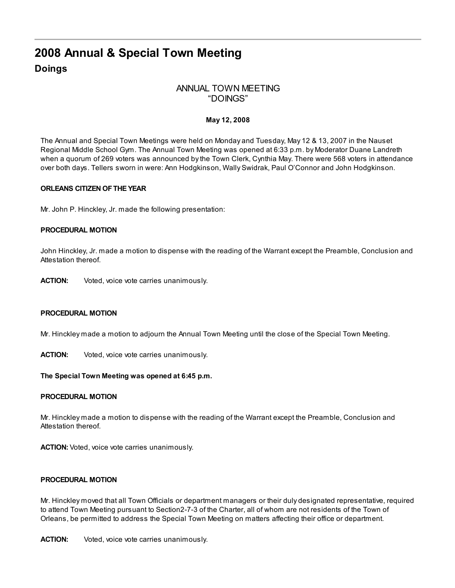# 2008 Annual & Special Town Meeting Doings

# ANNUAL TOWN MEETING "DOINGS"

# May 12, 2008

The Annual and Special Town Meetings were held on Monday and Tuesday, May 12 & 13, 2007 in the Nauset Regional Middle School Gym. The Annual Town Meeting was opened at 6:33 p.m. by Moderator Duane Landreth when a quorum of 269 voters was announced by the Town Clerk, Cynthia May. There were 568 voters in attendance over both days. Tellers sworn in were: Ann Hodgkinson, Wally Swidrak, Paul O'Connor and John Hodgkinson.

#### ORLEANS CITIZEN OFTHE YEAR

Mr. John P. Hinckley, Jr. made the following presentation:

# PROCEDURAL MOTION

John Hinckley, Jr. made a motion to dispense with the reading of the Warrant except the Preamble, Conclusion and Attestation thereof.

ACTION: Voted, voice vote carries unanimously.

#### PROCEDURAL MOTION

Mr. Hinckley made a motion to adjourn the Annual Town Meeting until the close of the Special Town Meeting.

**ACTION:** Voted, voice vote carries unanimously.

#### The Special Town Meeting was opened at 6:45 p.m.

#### PROCEDURAL MOTION

Mr. Hinckley made a motion to dispense with the reading of the Warrant except the Preamble, Conclusion and Attestation thereof.

ACTION: Voted, voice vote carries unanimously.

#### PROCEDURAL MOTION

Mr. Hinckley moved that all Town Officials or department managers or their duly designated representative, required to attend Town Meeting pursuant to Section2-7-3 of the Charter, all of whom are not residents of the Town of Orleans, be permitted to address the Special Town Meeting on matters affecting their office or department.

**ACTION:** Voted, voice vote carries unanimously.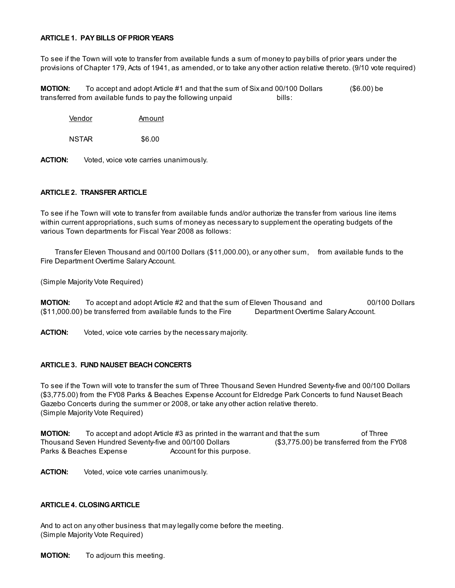#### ARTICLE 1. PAY BILLS OFPRIOR YEARS

To see if the Town will vote to transfer from available funds a sum of money to pay bills of prior years under the provisions of Chapter 179, Acts of 1941, as amended, or to take any other action relative thereto. (9/10 vote required)

**MOTION:** To accept and adopt Article #1 and that the sum of Six and 00/100 Dollars (\$6.00) be transferred from available funds to pay the following unpaid bills:

Vendor Amount

NSTAR \$6.00

ACTION: Voted, voice vote carries unanimously.

#### ARTICLE 2. TRANSFER ARTICLE

To see if he Town will vote to transfer from available funds and/or authorize the transfer from various line items within current appropriations, such sums of money as necessary to supplement the operating budgets of the various Town departments for Fiscal Year 2008 as follows:

Transfer Eleven Thousand and 00/100 Dollars (\$11,000.00), or any other sum, from available funds to the Fire Department Overtime Salary Account.

(Simple Majority Vote Required)

**MOTION:** To accept and adopt Article #2 and that the sum of Eleven Thousand and 00/100 Dollars (\$11,000.00) be transferred from available funds to the Fire Department Overtime Salary Account.

**ACTION:** Voted, voice vote carries by the necessary majority.

#### ARTICLE 3. FUND NAUSET BEACH CONCERTS

To see if the Town will vote to transfer the sum of Three Thousand Seven Hundred Seventy-five and 00/100 Dollars (\$3,775.00) from the FY08 Parks & Beaches Expense Account for Eldredge Park Concerts to fund Nauset Beach Gazebo Concerts during the summer or 2008, or take any other action relative thereto. (Simple Majority Vote Required)

**MOTION:** To accept and adopt Article #3 as printed in the warrant and that the sum of Three Thousand Seven Hundred Seventy-five and 00/100 Dollars (\$3,775.00) be transferred from the FY08 Parks & Beaches Expense **Account for this purpose.** 

ACTION: Voted, voice vote carries unanimously.

#### ARTICLE 4. CLOSINGARTICLE

And to act on any other business that may legally come before the meeting. (Simple Majority Vote Required)

**MOTION:** To adjourn this meeting.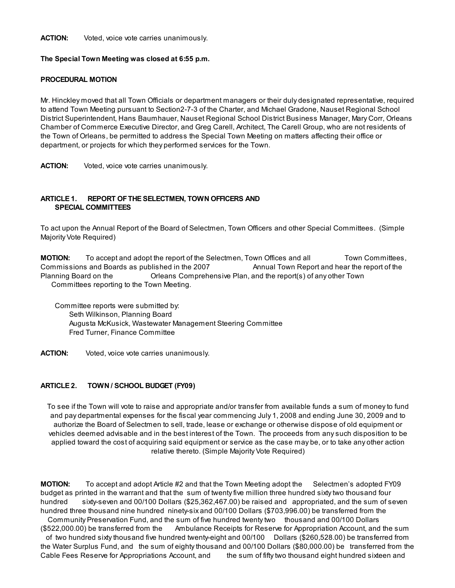**ACTION:** Voted, voice vote carries unanimously.

#### The Special Town Meeting was closed at 6:55 p.m.

#### PROCEDURAL MOTION

Mr. Hinckley moved that all Town Officials or department managers or their duly designated representative, required to attend Town Meeting pursuant to Section2-7-3 of the Charter, and Michael Gradone, Nauset Regional School District Superintendent, Hans Baumhauer, Nauset Regional School District Business Manager, Mary Corr, Orleans Chamber of Commerce Executive Director, and Greg Carell, Architect, The Carell Group, who are not residents of the Town of Orleans, be permitted to address the Special Town Meeting on matters affecting their office or department, or projects for which they performed services for the Town.

ACTION: Voted, voice vote carries unanimously.

# ARTICLE 1. REPORT OFTHE SELECTMEN, TOWN OFFICERS AND SPECIAL COMMITTEES

To act upon the Annual Report of the Board of Selectmen, Town Officers and other Special Committees. (Simple Majority Vote Required)

**MOTION:** To accept and adopt the report of the Selectmen, Town Offices and all Town Committees, Commissions and Boards as published in the 2007 Annual Town Report and hear the report of the Planning Board on the Orleans Comprehensive Plan, and the report(s) of any other Town Committees reporting to the Town Meeting.

Committee reports were submitted by: Seth Wilkinson, Planning Board Augusta McKusick, Wastewater Management Steering Committee Fred Turner, Finance Committee

**ACTION:** Voted, voice vote carries unanimously.

# ARTICLE 2. TOWN / SCHOOL BUDGET (FY09)

To see if the Town will vote to raise and appropriate and/or transfer from available funds a sum of money to fund and pay departmental expenses for the fiscal year commencing July 1, 2008 and ending June 30, 2009 and to authorize the Board of Selectmen to sell, trade, lease or exchange or otherwise dispose of old equipment or vehicles deemed advisable and in the best interest of the Town. The proceeds from any such disposition to be applied toward the cost of acquiring said equipment or service as the case may be, or to take any other action relative thereto. (Simple Majority Vote Required)

**MOTION:** To accept and adopt Article #2 and that the Town Meeting adopt the Selectmen's adopted FY09 budget as printed in the warrant and that the sum of twenty five million three hundred sixty two thousand four hundred sixty-seven and 00/100 Dollars (\$25,362,467.00) be raised and appropriated, and the sum of seven hundred three thousand nine hundred ninety-six and 00/100 Dollars (\$703,996.00) be transferred from the Community Preservation Fund, and the sum of five hundred twenty two thousand and 00/100 Dollars (\$522,000.00) be transferred from the Ambulance Receipts for Reserve for Appropriation Account, and the sum of two hundred sixty thousand five hundred twenty-eight and 00/100 Dollars (\$260,528.00) be transferred from the Water Surplus Fund, and the sum of eighty thousand and 00/100 Dollars (\$80,000.00) be transferred from the Cable Fees Reserve for Appropriations Account, and the sum of fifty two thousand eight hundred sixteen and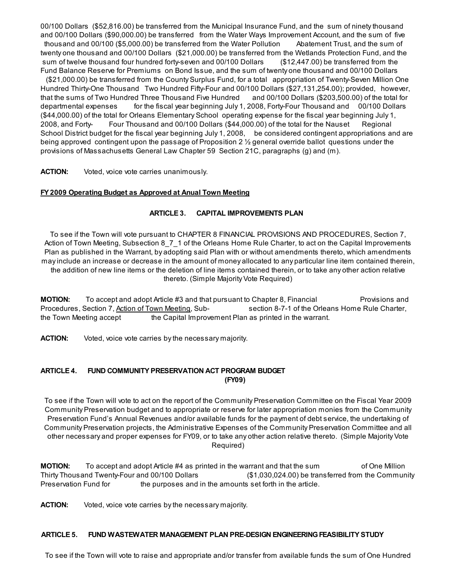00/100 Dollars (\$52,816.00) be transferred from the Municipal Insurance Fund, and the sum of ninety thousand and 00/100 Dollars (\$90,000.00) be transferred from the Water Ways Improvement Account, and the sum of five thousand and 00/100 (\$5,000.00) be transferred from the Water Pollution Abatement Trust, and the sum of twenty one thousand and 00/100 Dollars (\$21,000.00) be transferred from the Wetlands Protection Fund, and the sum of twelve thousand four hundred forty-seven and 00/100 Dollars (\$12,447.00) be transferred from the Fund Balance Reserve for Premiums on Bond Issue, and the sum of twenty one thousand and 00/100 Dollars

(\$21,000.00) be transferred from the County Surplus Fund, for a total appropriation of Twenty-Seven Million One Hundred Thirty-One Thousand Two Hundred Fifty-Four and 00/100 Dollars (\$27,131,254.00); provided, however, that the sums of Two Hundred Three Thousand Five Hundred and 00/100 Dollars (\$203,500.00) of the total for departmental expenses for the fiscal year beginning July 1, 2008, Forty-Four Thousand and 00/100 Dollars (\$44,000.00) of the total for Orleans Elementary School operating expense for the fiscal year beginning July 1, 2008, and Forty- Four Thousand and 00/100 Dollars (\$44,000.00) of the total for the Nauset Regional School District budget for the fiscal year beginning July 1, 2008, be considered contingent appropriations and are being approved contingent upon the passage of Proposition 2 ½ general override ballot questions under the provisions of Massachusetts General Law Chapter 59 Section 21C, paragraphs (g) and (m).

ACTION: Voted, voice vote carries unanimously.

#### FY 2009 [Operating](http://www.town.orleans.ma.us/Pages/OrleansMA_Finance/FinalOperatingBudgetforMay2008ATM.pdf) Budget as Approved at Anual Town Meeting

#### ARTICLE 3. CAPITAL IMPROVEMENTS PLAN

To see if the Town will vote pursuant to CHAPTER 8 FINANCIAL PROVISIONS AND PROCEDURES, Section 7, Action of Town Meeting, Subsection 8\_7\_1 of the Orleans Home Rule Charter, to act on the Capital Improvements Plan as published in the Warrant, by adopting said Plan with or without amendments thereto, which amendments may include an increase or decrease in the amount of money allocated to any particular line item contained therein, the addition of new line items or the deletion of line items contained therein, or to take any other action relative thereto. (Simple Majority Vote Required)

**MOTION:** To accept and adopt Article #3 and that pursuant to Chapter 8, Financial Provisions and Procedures, Section 7, Action of Town Meeting, Sub-<br>
section 8-7-1 of the Orleans Home Rule Charter, the Town Meeting accept the Capital Improvement Plan as printed in the warrant.

ACTION: Voted, voice vote carries by the necessary majority.

#### ARTICLE 4. FUND COMMUNITY PRESERVATION ACT PROGRAM BUDGET (FY09)

To see if the Town will vote to act on the report of the Community Preservation Committee on the Fiscal Year 2009 Community Preservation budget and to appropriate or reserve for later appropriation monies from the Community Preservation Fund's Annual Revenues and/or available funds for the payment of debt service, the undertaking of Community Preservation projects, the Administrative Expenses of the Community Preservation Committee and all other necessary and proper expenses for FY09, or to take any other action relative thereto. (Simple Majority Vote Required)

**MOTION:** To accept and adopt Article #4 as printed in the warrant and that the sum of One Million Thirty Thousand Twenty-Four and 00/100 Dollars (\$1,030,024.00) be transferred from the Community Preservation Fund for the purposes and in the amounts set forth in the article.

**ACTION:** Voted, voice vote carries by the necessary majority.

## ARTICLE 5. FUND WASTEWATER MANAGEMENT PLAN PRE-DESIGN ENGINEERINGFEASIBILITY STUDY

To see if the Town will vote to raise and appropriate and/or transfer from available funds the sum of One Hundred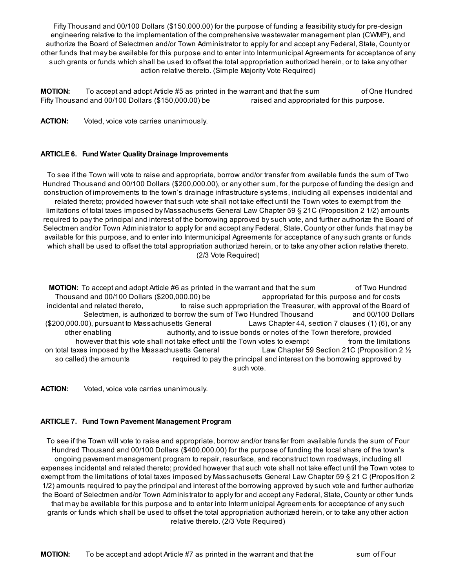Fifty Thousand and 00/100 Dollars (\$150,000.00) for the purpose of funding a feasibility study for pre-design engineering relative to the implementation of the comprehensive wastewater management plan (CWMP), and authorize the Board of Selectmen and/or Town Administrator to apply for and accept any Federal, State, County or other funds that may be available for this purpose and to enter into Intermunicipal Agreements for acceptance of any such grants or funds which shall be used to offset the total appropriation authorized herein, or to take any other action relative thereto. (Simple Majority Vote Required)

**MOTION:** To accept and adopt Article #5 as printed in the warrant and that the sum of One Hundred Fifty Thousand and 00/100 Dollars (\$150,000.00) be raised and appropriated for this purpose.

ACTION: Voted, voice vote carries unanimously.

# ARTICLE 6. Fund Water Quality Drainage Improvements

To see if the Town will vote to raise and appropriate, borrow and/or transfer from available funds the sum of Two Hundred Thousand and 00/100 Dollars (\$200,000.00), or any other sum, for the purpose of funding the design and construction of improvements to the town's drainage infrastructure systems, including all expenses incidental and related thereto; provided however that such vote shall not take effect until the Town votes to exempt from the limitations of total taxes imposed by Massachusetts General Law Chapter 59 § 21C (Proposition 2 1/2) amounts required to pay the principal and interest of the borrowing approved by such vote, and further authorize the Board of Selectmen and/or Town Administrator to apply for and accept any Federal, State, County or other funds that may be available for this purpose, and to enter into Intermunicipal Agreements for acceptance of any such grants or funds which shall be used to offset the total appropriation authorized herein, or to take any other action relative thereto. (2/3 Vote Required)

**MOTION:** To accept and adopt Article #6 as printed in the warrant and that the sum of Two Hundred Thousand and 00/100 Dollars (\$200,000.00) be appropriated for this purpose and for costs incidental and related thereto, the raise such appropriation the Treasurer, with approval of the Board of Selectmen, is authorized to borrow the sum of Two Hundred Thousand and 00/100 Dollars (\$200,000.00), pursuant to Massachusetts General Laws Chapter 44, section 7 clauses (1) (6), or any other enabling authority, and to issue bonds or notes of the Town therefore, provided however that this vote shall not take effect until the Town votes to exempt from the limitations on total taxes imposed by the Massachusetts General Law Chapter 59 Section 21C (Proposition 2 ½ so called) the amounts required to pay the principal and interest on the borrowing approved by such vote.

ACTION: Voted, voice vote carries unanimously.

# ARTICLE 7. Fund Town Pavement Management Program

To see if the Town will vote to raise and appropriate, borrow and/or transfer from available funds the sum of Four Hundred Thousand and 00/100 Dollars (\$400,000.00) for the purpose of funding the local share of the town's ongoing pavement management program to repair, resurface, and reconstruct town roadways, including all expenses incidental and related thereto; provided however that such vote shall not take effect until the Town votes to exempt from the limitations of total taxes imposed by Massachusetts General Law Chapter 59 § 21 C (Proposition 2 1/2) amounts required to pay the principal and interest of the borrowing approved by such vote and further authorize the Board of Selectmen and/or Town Administrator to apply for and accept any Federal, State, County or other funds that may be available for this purpose and to enter into Intermunicipal Agreements for acceptance of any such grants or funds which shall be used to offset the total appropriation authorized herein, or to take any other action relative thereto. (2/3 Vote Required)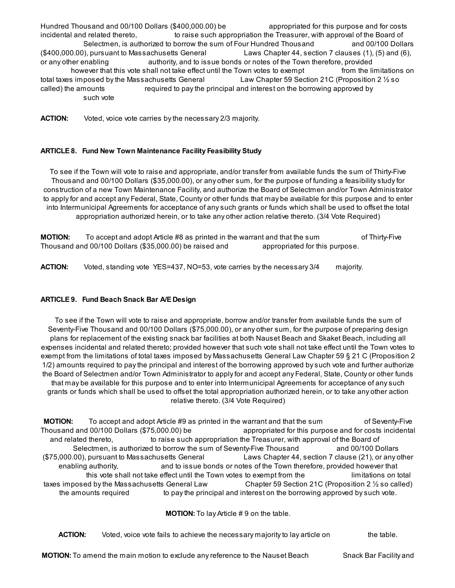Hundred Thousand and 00/100 Dollars (\$400,000.00) be appropriated for this purpose and for costs incidental and related thereto, the raise such appropriation the Treasurer, with approval of the Board of Selectmen, is authorized to borrow the sum of Four Hundred Thousand and 00/100 Dollars (\$400,000.00), pursuant to Massachusetts General Laws Chapter 44, section 7 clauses (1), (5) and (6), or any other enabling authority, and to issue bonds or notes of the Town therefore, provided however that this vote shall not take effect until the Town votes to exempt from the limitations on total taxes imposed by the Massachusetts General Law Chapter 59 Section 21C (Proposition 2  $\frac{1}{2}$  so called) the amounts required to pay the principal and interest on the borrowing approved by such vote

**ACTION:** Voted, voice vote carries by the necessary 2/3 majority.

# ARTICLE 8. Fund New Town Maintenance Facility Feasibility Study

To see if the Town will vote to raise and appropriate, and/or transfer from available funds the sum of Thirty-Five Thousand and 00/100 Dollars (\$35,000.00), or any other sum, for the purpose of funding a feasibility study for construction of a new Town Maintenance Facility, and authorize the Board of Selectmen and/or Town Administrator to apply for and accept any Federal, State, County or other funds that may be available for this purpose and to enter into Intermunicipal Agreements for acceptance of any such grants or funds which shall be used to offset the total appropriation authorized herein, or to take any other action relative thereto. (3/4 Vote Required)

**MOTION:** To accept and adopt Article #8 as printed in the warrant and that the sum of Thirty-Five Thousand and 00/100 Dollars (\$35,000.00) be raised and appropriated for this purpose.

ACTION: Voted, standing vote YES=437, NO=53, vote carries by the necessary 3/4 majority.

# ARTICLE 9. Fund Beach Snack Bar A/E Design

To see if the Town will vote to raise and appropriate, borrow and/or transfer from available funds the sum of Seventy-Five Thousand and 00/100 Dollars (\$75,000.00), or any other sum, for the purpose of preparing design plans for replacement of the existing snack bar facilities at both Nauset Beach and Skaket Beach, including all expenses incidental and related thereto; provided however that such vote shall not take effect until the Town votes to exempt from the limitations of total taxes imposed by Massachusetts General Law Chapter 59 § 21 C (Proposition 2 1/2) amounts required to pay the principal and interest of the borrowing approved by such vote and further authorize the Board of Selectmen and/or Town Administrator to apply for and accept any Federal, State, County or other funds that may be available for this purpose and to enter into Intermunicipal Agreements for acceptance of any such grants or funds which shall be used to offset the total appropriation authorized herein, or to take any other action relative thereto. (3/4 Vote Required)

**MOTION:** To accept and adopt Article #9 as printed in the warrant and that the sum of Seventy-Five Thousand and 00/100 Dollars (\$75,000.00) be appropriated for this purpose and for costs incidental and related thereto, to raise such appropriation the Treasurer, with approval of the Board of Selectmen, is authorized to borrow the sum of Seventy-Five Thousand and 00/100 Dollars (\$75,000.00), pursuant to Massachusetts General Laws Chapter 44, section 7 clause (21), or any other enabling authority, and to issue bonds or notes of the Town therefore, provided however that this vote shall not take effect until the Town votes to exempt from the limitations on total taxes imposed by the Massachusetts General Law Chapter 59 Section 21C (Proposition 2 ½ so called) the amounts required to pay the principal and interest on the borrowing approved by such vote.

MOTION: To lay Article # 9 on the table.

ACTION: Voted, voice vote fails to achieve the necessary majority to lay article on the table.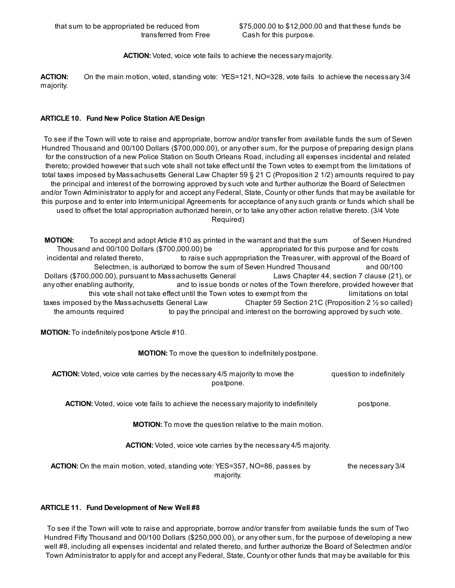ACTION: Voted, voice vote fails to achieve the necessary majority.

ACTION: On the main motion, voted, standing vote: YES=121, NO=328, vote fails to achieve the necessary 3/4 majority.

# ARTICLE 10. Fund New Police Station A/E Design

To see if the Town will vote to raise and appropriate, borrow and/or transfer from available funds the sum of Seven Hundred Thousand and 00/100 Dollars (\$700,000.00), or any other sum, for the purpose of preparing design plans for the construction of a new Police Station on South Orleans Road, including all expenses incidental and related thereto; provided however that such vote shall not take effect until the Town votes to exempt from the limitations of total taxes imposed by Massachusetts General Law Chapter 59 § 21 C (Proposition 2 1/2) amounts required to pay the principal and interest of the borrowing approved by such vote and further authorize the Board of Selectmen and/or Town Administrator to apply for and accept any Federal, State, County or other funds that may be available for this purpose and to enter into Intermunicipal Agreements for acceptance of any such grants or funds which shall be used to offset the total appropriation authorized herein, or to take any other action relative thereto. (3/4 Vote Required)

MOTION: To accept and adopt Article #10 as printed in the warrant and that the sum of Seven Hundred Thousand and 00/100 Dollars (\$700,000.00) be appropriated for this purpose and for costs incidental and related thereto, to raise such appropriation the Treasurer, with approval of the Board of Selectmen, is authorized to borrow the sum of Seven Hundred Thousand and 00/100 Dollars (\$700,000.00), pursuant to Massachusetts General Laws Chapter 44, section 7 clause (21), or any other enabling authority, and to issue bonds or notes of the Town therefore, provided however that this vote shall not take effect until the Town votes to exempt from the limitations on total taxes imposed by the Massachusetts General Law Chapter 59 Section 21C (Proposition 2 ½ so called) the amounts required to pay the principal and interest on the borrowing approved by such vote.

MOTION: To indefinitely postpone Article #10.

# MOTION: To move the question to indefinitely postpone.

| <b>ACTION:</b> Voted, voice vote carries by the necessary 4/5 majority to move the<br>postpone. | question to indefinitely |
|-------------------------------------------------------------------------------------------------|--------------------------|
| <b>ACTION:</b> Voted, voice vote fails to achieve the necessary majority to indefinitely        | postpone.                |
| <b>MOTION:</b> To move the question relative to the main motion.                                |                          |
| <b>ACTION:</b> Voted, voice vote carries by the necessary 4/5 majority.                         |                          |
| <b>ACTION:</b> On the main motion, voted, standing vote: YES=357, NO=86, passes by<br>majority. | the necessary 3/4        |

#### ARTICLE 11. Fund Development of New Well #8

To see if the Town will vote to raise and appropriate, borrow and/or transfer from available funds the sum of Two Hundred Fifty Thousand and 00/100 Dollars (\$250,000.00), or any other sum, for the purpose of developing a new well #8, including all expenses incidental and related thereto, and further authorize the Board of Selectmen and/or Town Administrator to apply for and accept any Federal, State, County or other funds that may be available for this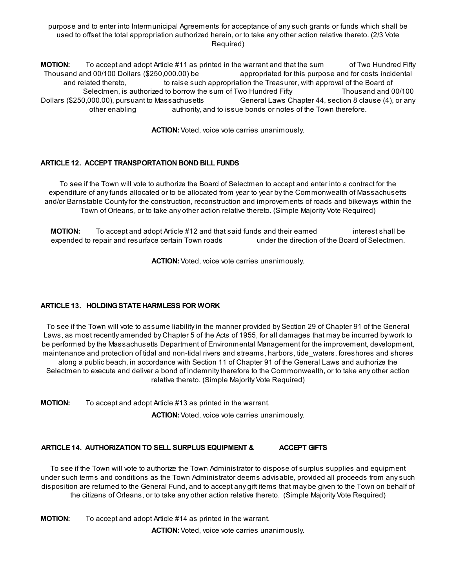purpose and to enter into Intermunicipal Agreements for acceptance of any such grants or funds which shall be used to offset the total appropriation authorized herein, or to take any other action relative thereto. (2/3 Vote Required)

**MOTION:** To accept and adopt Article #11 as printed in the warrant and that the sum of Two Hundred Fifty Thousand and 00/100 Dollars (\$250,000.00) be appropriated for this purpose and for costs incidental and related thereto, to raise such appropriation the Treasurer, with approval of the Board of Selectmen, is authorized to borrow the sum of Two Hundred Fifty Thousand and 00/100 Dollars (\$250,000.00), pursuant to Massachusetts General Laws Chapter 44, section 8 clause (4), or any other enabling authority, and to issue bonds or notes of the Town therefore.

ACTION: Voted, voice vote carries unanimously.

# ARTICLE 12. ACCEPT TRANSPORTATION BOND BILL FUNDS

To see if the Town will vote to authorize the Board of Selectmen to accept and enter into a contract for the expenditure of any funds allocated or to be allocated from year to year by the Commonwealth of Massachusetts and/or Barnstable County for the construction, reconstruction and improvements of roads and bikeways within the Town of Orleans, or to take any other action relative thereto. (Simple Majority Vote Required)

**MOTION:** To accept and adopt Article #12 and that said funds and their earned interest shall be expended to repair and resurface certain Town roads under the direction of the Board of Selectmen.

ACTION: Voted, voice vote carries unanimously.

#### ARTICLE 13. HOLDING STATE HARMLESS FOR WORK

To see if the Town will vote to assume liability in the manner provided by Section 29 of Chapter 91 of the General Laws, as most recently amended by Chapter 5 of the Acts of 1955, for all damages that may be incurred by work to be performed by the Massachusetts Department of Environmental Management for the improvement, development, maintenance and protection of tidal and non-tidal rivers and streams, harbors, tide\_waters, foreshores and shores along a public beach, in accordance with Section 11 of Chapter 91 of the General Laws and authorize the Selectmen to execute and deliver a bond of indemnity therefore to the Commonwealth, or to take any other action relative thereto. (Simple Majority Vote Required)

**MOTION:** To accept and adopt Article #13 as printed in the warrant.

ACTION: Voted, voice vote carries unanimously.

# ARTICLE 14. AUTHORIZATION TO SELL SURPLUS EQUIPMENT & ACCEPT GIFTS

To see if the Town will vote to authorize the Town Administrator to dispose of surplus supplies and equipment under such terms and conditions as the Town Administrator deems advisable, provided all proceeds from any such disposition are returned to the General Fund, and to accept any gift items that may be given to the Town on behalf of the citizens of Orleans, or to take any other action relative thereto. (Simple Majority Vote Required)

**MOTION:** To accept and adopt Article #14 as printed in the warrant.

ACTION: Voted, voice vote carries unanimously.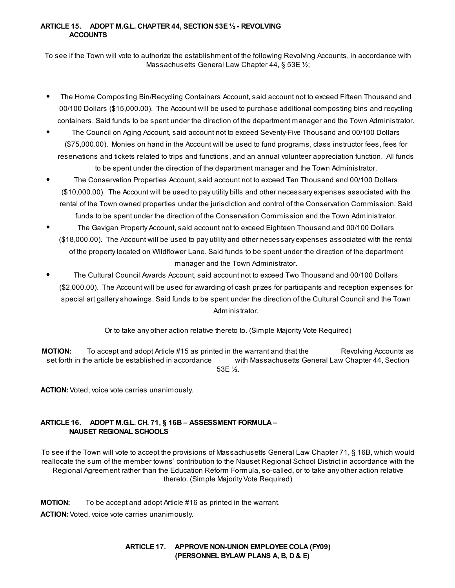# ARTICLE 15. ADOPT M.G.L. CHAPTER 44, SECTION 53E ½ - REVOLVING **ACCOUNTS**

To see if the Town will vote to authorize the establishment of the following Revolving Accounts, in accordance with Massachusetts General Law Chapter 44, § 53E 1/2;

- The Home Composting Bin/Recycling Containers Account, said account not to exceed Fifteen Thousand and 00/100 Dollars (\$15,000.00). The Account will be used to purchase additional composting bins and recycling containers. Said funds to be spent under the direction of the department manager and the Town Administrator.
- The Council on Aging Account, said account not to exceed Seventy-Five Thousand and 00/100 Dollars (\$75,000.00). Monies on hand in the Account will be used to fund programs, class instructor fees, fees for reservations and tickets related to trips and functions, and an annual volunteer appreciation function. All funds

to be spent under the direction of the department manager and the Town Administrator. The Conservation Properties Account, said account not to exceed Ten Thousand and 00/100 Dollars (\$10,000.00). The Account will be used to pay utility bills and other necessary expenses associated with the rental of the Town owned properties under the jurisdiction and control of the Conservation Commission. Said funds to be spent under the direction of the Conservation Commission and the Town Administrator.

- The Gavigan Property Account, said account not to exceed Eighteen Thousand and 00/100 Dollars (\$18,000.00). The Account will be used to pay utility and other necessary expenses associated with the rental of the property located on Wildflower Lane. Said funds to be spent under the direction of the department manager and the Town Administrator.
- The Cultural Council Awards Account, said account not to exceed Two Thousand and 00/100 Dollars (\$2,000.00). The Account will be used for awarding of cash prizes for participants and reception expenses for special art gallery showings. Said funds to be spent under the direction of the Cultural Council and the Town Administrator.

Or to take any other action relative thereto to. (Simple Majority Vote Required)

**MOTION:** To accept and adopt Article #15 as printed in the warrant and that the Revolving Accounts as set forth in the article be established in accordance with Massachusetts General Law Chapter 44, Section 53E ½.

ACTION: Voted, voice vote carries unanimously.

# ARTICLE 16. ADOPT M.G.L. CH. 71, § 16B – ASSESSMENT FORMULA – NAUSET REGIONAL SCHOOLS

To see if the Town will vote to accept the provisions of Massachusetts General Law Chapter 71, § 16B, which would reallocate the sum of the member towns' contribution to the Nauset Regional School District in accordance with the Regional Agreement rather than the Education Reform Formula, so-called, or to take any other action relative thereto. (Simple Majority Vote Required)

**MOTION:** To be accept and adopt Article #16 as printed in the warrant. ACTION: Voted, voice vote carries unanimously.

# ARTICLE 17. APPROVE NON-UNION EMPLOYEE COLA (FY09) (PERSONNEL BYLAW PLANS A, B, D & E)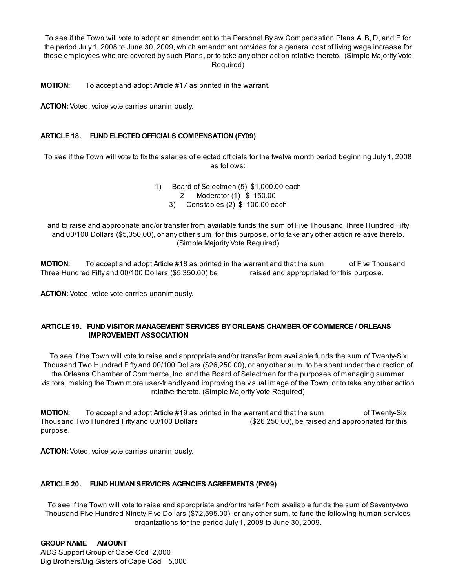To see if the Town will vote to adopt an amendment to the Personal Bylaw Compensation Plans A, B, D, and E for the period July 1, 2008 to June 30, 2009, which amendment provides for a general cost of living wage increase for those employees who are covered by such Plans, or to take any other action relative thereto. (Simple Majority Vote Required)

**MOTION:** To accept and adopt Article #17 as printed in the warrant.

ACTION: Voted, voice vote carries unanimously.

# ARTICLE 18. FUND ELECTED OFFICIALS COMPENSATION (FY09)

To see if the Town will vote to fix the salaries of elected officials for the twelve month period beginning July 1, 2008 as follows:

> 1) Board of Selectmen (5) \$1,000.00 each 2 Moderator (1) \$ 150.00 3) Constables (2) \$ 100.00 each

and to raise and appropriate and/or transfer from available funds the sum of Five Thousand Three Hundred Fifty and 00/100 Dollars (\$5,350.00), or any other sum, for this purpose, or to take any other action relative thereto. (Simple Majority Vote Required)

**MOTION:** To accept and adopt Article #18 as printed in the warrant and that the sum of Five Thousand Three Hundred Fifty and 00/100 Dollars (\$5,350.00) be raised and appropriated for this purpose.

ACTION: Voted, voice vote carries unanimously.

# ARTICLE 19. FUND VISITOR MANAGEMENT SERVICES BY ORLEANS CHAMBER OF COMMERCE / ORLEANS IMPROVEMENT ASSOCIATION

To see if the Town will vote to raise and appropriate and/or transfer from available funds the sum of Twenty-Six Thousand Two Hundred Fifty and 00/100 Dollars (\$26,250.00), or any other sum, to be spent under the direction of the Orleans Chamber of Commerce, Inc. and the Board of Selectmen for the purposes of managing summer visitors, making the Town more user-friendly and improving the visual image of the Town, or to take any other action relative thereto. (Simple Majority Vote Required)

**MOTION:** To accept and adopt Article #19 as printed in the warrant and that the sum of Twenty-Six Thousand Two Hundred Fifty and 00/100 Dollars (\$26,250.00), be raised and appropriated for this purpose.

ACTION: Voted, voice vote carries unanimously.

#### ARTICLE 20. FUND HUMAN SERVICES AGENCIES AGREEMENTS (FY09)

To see if the Town will vote to raise and appropriate and/or transfer from available funds the sum of Seventy-two Thousand Five Hundred Ninety-Five Dollars (\$72,595.00), or any other sum, to fund the following human services organizations for the period July 1, 2008 to June 30, 2009.

GROUP NAME AMOUNT AIDS Support Group of Cape Cod 2,000 Big Brothers/Big Sisters of Cape Cod 5,000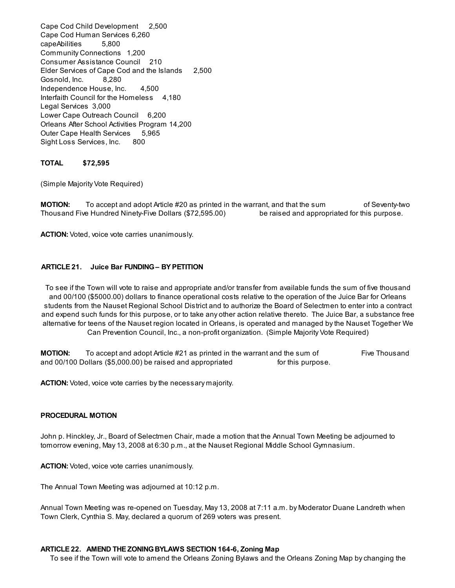Cape Cod Child Development 2,500 Cape Cod Human Services 6,260 capeAbilities 5,800 Community Connections 1,200 Consumer Assistance Council 210 Elder Services of Cape Cod and the Islands 2,500 Gosnold, Inc. 8,280 Independence House, Inc. 4,500 Interfaith Council for the Homeless 4,180 Legal Services 3,000 Lower Cape Outreach Council 6,200 Orleans After School Activities Program 14,200 Outer Cape Health Services 5,965 Sight Loss Services, Inc. 800

#### TOTAL \$72,595

(Simple Majority Vote Required)

**MOTION:** To accept and adopt Article #20 as printed in the warrant, and that the sum of Seventy-two Thousand Five Hundred Ninety-Five Dollars (\$72,595.00) be raised and appropriated for this purpose.

ACTION: Voted, voice vote carries unanimously.

#### ARTICLE 21. Juice Bar FUNDING– BY PETITION

To see if the Town will vote to raise and appropriate and/or transfer from available funds the sum of five thousand and 00/100 (\$5000.00) dollars to finance operational costs relative to the operation of the Juice Bar for Orleans students from the Nauset Regional School District and to authorize the Board of Selectmen to enter into a contract and expend such funds for this purpose, or to take any other action relative thereto. The Juice Bar, a substance free alternative for teens of the Nauset region located in Orleans, is operated and managed by the Nauset Together We Can Prevention Council, Inc., a non-profit organization. (Simple Majority Vote Required)

**MOTION:** To accept and adopt Article #21 as printed in the warrant and the sum of Five Thousand and 00/100 Dollars (\$5,000.00) be raised and appropriated for this purpose.

ACTION: Voted, voice vote carries by the necessary majority.

#### PROCEDURAL MOTION

John p. Hinckley, Jr., Board of Selectmen Chair, made a motion that the Annual Town Meeting be adjourned to tomorrow evening, May 13, 2008 at 6:30 p.m., at the Nauset Regional Middle School Gymnasium.

ACTION: Voted, voice vote carries unanimously.

The Annual Town Meeting was adjourned at 10:12 p.m.

Annual Town Meeting was re-opened on Tuesday, May 13, 2008 at 7:11 a.m. by Moderator Duane Landreth when Town Clerk, Cynthia S. May, declared a quorum of 269 voters was present.

#### ARTICLE 22. AMEND THE ZONINGBYLAWS SECTION 164-6, Zoning Map

To see if the Town will vote to amend the Orleans Zoning Bylaws and the Orleans Zoning Map by changing the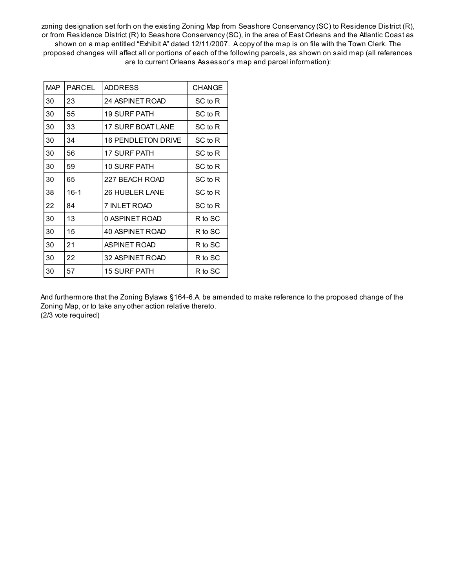zoning designation set forth on the existing Zoning Map from Seashore Conservancy (SC) to Residence District (R), or from Residence District (R) to Seashore Conservancy (SC), in the area of East Orleans and the Atlantic Coast as shown on a map entitled "Exhibit A" dated 12/11/2007. A copy of the map is on file with the Town Clerk. The proposed changes will affect all or portions of each of the following parcels, as shown on said map (all references are to current Orleans Assessor's map and parcel information):

| <b>MAP</b> | <b>PARCEL</b> | <b>ADDRESS</b>            | <b>CHANGE</b> |
|------------|---------------|---------------------------|---------------|
| 30         | 23            | <b>24 ASPINET ROAD</b>    | SC to R       |
| 30         | 55            | <b>19 SURF PATH</b>       | SC to R       |
| 30         | 33            | <b>17 SURF BOAT LANE</b>  | SC to R       |
| 30         | 34            | <b>16 PENDLETON DRIVE</b> | SC to R       |
| 30         | 56            | <b>17 SURF PATH</b>       | SC to R       |
| 30         | 59            | 10 SURF PATH              | SC to R       |
| 30         | 65            | 227 BEACH ROAD            | SC to R       |
| 38         | $16-1$        | 26 HUBLER LANE            | SC to R       |
| 22         | 84            | 7 INLET ROAD              | SC to R       |
| 30         | 13            | 0 ASPINET ROAD            | R to SC       |
| 30         | 15            | 40 ASPINET ROAD           | R to SC       |
| 30         | 21            | <b>ASPINET ROAD</b>       | R to SC       |
| 30         | 22            | 32 ASPINET ROAD           | R to SC       |
| 30         | 57            | <b>15 SURF PATH</b>       | R to SC       |

And furthermore that the Zoning Bylaws §164-6.A. be amended to make reference to the proposed change of the Zoning Map, or to take any other action relative thereto. (2/3 vote required)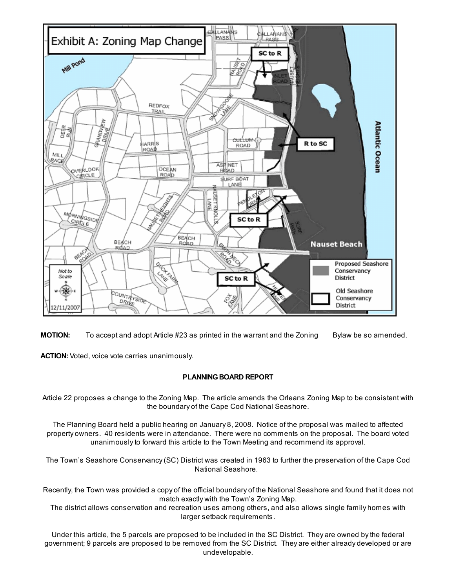



ACTION: Voted, voice vote carries unanimously.

# PLANNING BOARD REPORT

Article 22 proposes a change to the Zoning Map. The article amends the Orleans Zoning Map to be consistent with the boundary of the Cape Cod National Seashore.

The Planning Board held a public hearing on January 8, 2008. Notice of the proposal was mailed to affected property owners. 40 residents were in attendance. There were no comments on the proposal. The board voted unanimously to forward this article to the Town Meeting and recommend its approval.

The Town's Seashore Conservancy (SC) District was created in 1963 to further the preservation of the Cape Cod National Seashore.

Recently, the Town was provided a copy of the official boundary of the National Seashore and found that it does not match exactly with the Town's Zoning Map.

The district allows conservation and recreation uses among others, and also allows single family homes with larger setback requirements.

Under this article, the 5 parcels are proposed to be included in the SC District. They are owned by the federal government; 9 parcels are proposed to be removed from the SC District. They are either already developed or are undevelopable.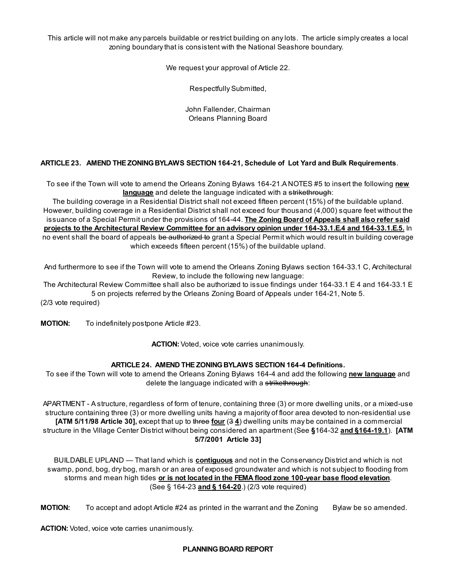This article will not make any parcels buildable or restrict building on any lots. The article simply creates a local zoning boundary that is consistent with the National Seashore boundary.

We request your approval of Article 22.

Respectfully Submitted,

John Fallender, Chairman Orleans Planning Board

# ARTICLE 23. AMEND THE ZONING BYLAWS SECTION 164-21, Schedule of Lot Yard and Bulk Requirements.

To see if the Town will vote to amend the Orleans Zoning Bylaws 164-21.A NOTES #5 to insert the following new language and delete the language indicated with a strikethrough:

The building coverage in a Residential District shall not exceed fifteen percent (15%) of the buildable upland. However, building coverage in a Residential District shall not exceed four thousand (4,000) square feet without the issuance of a Special Permit under the provisions of 164-44. The Zoning Board of Appeals shall also refer said projects to the Architectural Review Committee for an advisory opinion under 164-33.1.E.4 and 164-33.1.E.5. In no event shall the board of appeals be authorized to grant a Special Permit which would result in building coverage which exceeds fifteen percent (15%) of the buildable upland.

And furthermore to see if the Town will vote to amend the Orleans Zoning Bylaws section 164-33.1 C, Architectural Review, to include the following new language:

The Architectural Review Committee shall also be authorized to issue findings under 164-33.1 E 4 and 164-33.1 E 5 on projects referred by the Orleans Zoning Board of Appeals under 164-21, Note 5.

(2/3 vote required)

MOTION: To indefinitely postpone Article #23.

ACTION: Voted, voice vote carries unanimously.

#### ARTICLE 24. AMEND THE ZONINGBYLAWS SECTION 164-4 Definitions.

To see if the Town will vote to amend the Orleans Zoning Bylaws 164-4 and add the following new language and delete the language indicated with a strikethrough:

APARTMENT - A structure, regardless of form of tenure, containing three (3) or more dwelling units, or a mixed-use structure containing three (3) or more dwelling units having a majority of floor area devoted to non-residential use [ATM 5/11/98 Article 30], except that up to three four  $(3 4)$  dwelling units may be contained in a commercial structure in the Village Center District without being considered an apartment (See §164-32 and §164-19.1). [ATM 5/7/2001 Article 33]

BUILDABLE UPLAND — That land which is **contiguous** and not in the Conservancy District and which is not swamp, pond, bog, dry bog, marsh or an area of exposed groundwater and which is not subject to flooding from storms and mean high tides or is not located in the FEMA flood zone 100-year base flood elevation. (See § 164-23 and § 164-20.) (2/3 vote required)

MOTION: To accept and adopt Article #24 as printed in the warrant and the Zoning Bylaw be so amended.

ACTION: Voted, voice vote carries unanimously.

PLANNING BOARD REPORT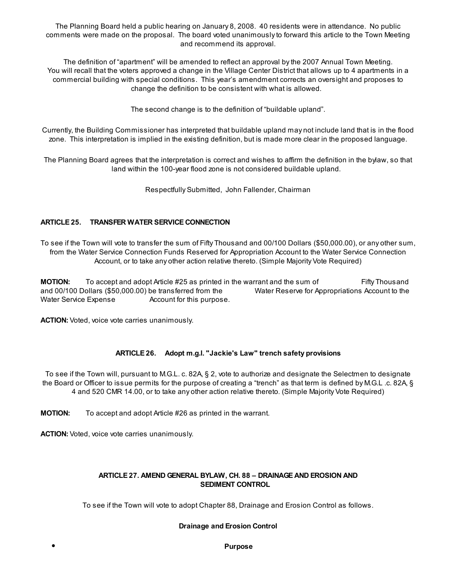The Planning Board held a public hearing on January 8, 2008. 40 residents were in attendance. No public comments were made on the proposal. The board voted unanimously to forward this article to the Town Meeting and recommend its approval.

The definition of "apartment" will be amended to reflect an approval by the 2007 Annual Town Meeting. You will recall that the voters approved a change in the Village Center District that allows up to 4 apartments in a commercial building with special conditions. This year's amendment corrects an oversight and proposes to change the definition to be consistent with what is allowed.

The second change is to the definition of "buildable upland".

Currently, the Building Commissioner has interpreted that buildable upland may not include land that is in the flood zone. This interpretation is implied in the existing definition, but is made more clear in the proposed language.

The Planning Board agrees that the interpretation is correct and wishes to affirm the definition in the bylaw, so that land within the 100-year flood zone is not considered buildable upland.

Respectfully Submitted, John Fallender, Chairman

# ARTICLE 25. TRANSFER WATER SERVICE CONNECTION

To see if the Town will vote to transfer the sum of Fifty Thousand and 00/100 Dollars (\$50,000.00), or any other sum, from the Water Service Connection Funds Reserved for Appropriation Account to the Water Service Connection Account, or to take any other action relative thereto. (Simple Majority Vote Required)

**MOTION:** To accept and adopt Article #25 as printed in the warrant and the sum of Fifty Thousand and 00/100 Dollars (\$50,000.00) be transferred from the Water Reserve for Appropriations Account to the Water Service Expense **Account** for this purpose.

ACTION: Voted, voice vote carries unanimously.

# ARTICLE 26. Adopt m.g.l. "Jackie's Law" trench safety provisions

To see if the Town will, pursuant to M.G.L. c. 82A, § 2, vote to authorize and designate the Selectmen to designate the Board or Officer to issue permits for the purpose of creating a "trench" as that term is defined by M.G.L .c. 82A, § 4 and 520 CMR 14.00, or to take any other action relative thereto. (Simple Majority Vote Required)

**MOTION:** To accept and adopt Article #26 as printed in the warrant.

ACTION: Voted, voice vote carries unanimously.

# ARTICLE 27. AMEND GENERAL BYLAW, CH. 88 – DRAINAGE AND EROSION AND SEDIMENT CONTROL

To see if the Town will vote to adopt Chapter 88, Drainage and Erosion Control as follows.

# Drainage and Erosion Control

Purpose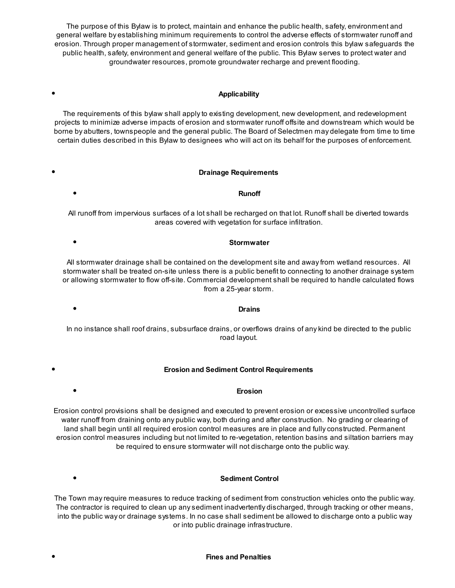The purpose of this Bylaw is to protect, maintain and enhance the public health, safety, environment and general welfare by establishing minimum requirements to control the adverse effects of stormwater runoff and erosion. Through proper management of stormwater, sediment and erosion controls this bylaw safeguards the public health, safety, environment and general welfare of the public. This Bylaw serves to protect water and groundwater resources, promote groundwater recharge and prevent flooding.

#### Applicability

The requirements of this bylaw shall apply to existing development, new development, and redevelopment projects to minimize adverse impacts of erosion and stormwater runoff offsite and downstream which would be borne by abutters, townspeople and the general public. The Board of Selectmen may delegate from time to time certain duties described in this Bylaw to designees who will act on its behalf for the purposes of enforcement.

#### Drainage Requirements

#### Runoff

All runoff from impervious surfaces of a lot shall be recharged on that lot. Runoff shall be diverted towards areas covered with vegetation for surface infiltration.

#### Stormwater

Drains

All stormwater drainage shall be contained on the development site and away from wetland resources. All stormwater shall be treated on-site unless there is a public benefit to connecting to another drainage system or allowing stormwater to flow off-site. Commercial development shall be required to handle calculated flows from a 25-year storm.

In no instance shall roof drains, subsurface drains, or overflows drains of any kind be directed to the public road layout.

#### Erosion and Sediment Control Requirements

#### Erosion

Erosion control provisions shall be designed and executed to prevent erosion or excessive uncontrolled surface water runoff from draining onto any public way, both during and after construction. No grading or clearing of land shall begin until all required erosion control measures are in place and fully constructed. Permanent erosion control measures including but not limited to re-vegetation, retention basins and siltation barriers may be required to ensure stormwater will not discharge onto the public way.

 $\bullet$ 

 $\bullet$ 

 $\bullet$ 

#### Sediment Control

The Town may require measures to reduce tracking of sediment from construction vehicles onto the public way. The contractor is required to clean up any sediment inadvertently discharged, through tracking or other means, into the public way or drainage systems. In no case shall sediment be allowed to discharge onto a public way or into public drainage infrastructure.

#### Fines and Penalties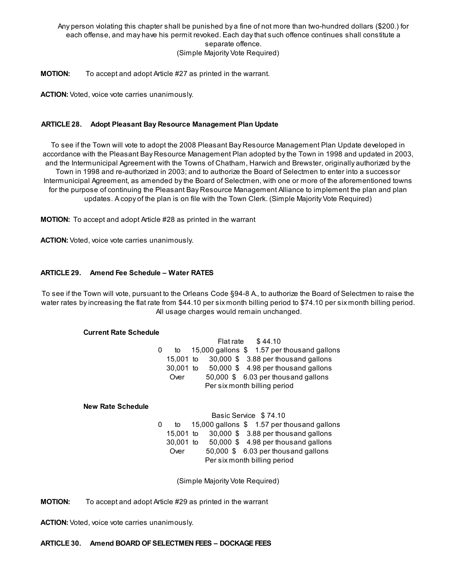Any person violating this chapter shall be punished by a fine of not more than two-hundred dollars (\$200.) for each offense, and may have his permit revoked. Each day that such offence continues shall constitute a separate offence. (Simple Majority Vote Required)

**MOTION:** To accept and adopt Article #27 as printed in the warrant.

ACTION: Voted, voice vote carries unanimously.

#### ARTICLE 28. Adopt Pleasant Bay Resource Management Plan Update

To see if the Town will vote to adopt the 2008 Pleasant Bay Resource Management Plan Update developed in accordance with the Pleasant Bay Resource Management Plan adopted by the Town in 1998 and updated in 2003, and the Intermunicipal Agreement with the Towns of Chatham, Harwich and Brewster, originally authorized by the Town in 1998 and re-authorized in 2003; and to authorize the Board of Selectmen to enter into a successor Intermunicipal Agreement, as amended by the Board of Selectmen, with one or more of the aforementioned towns for the purpose of continuing the Pleasant Bay Resource Management Alliance to implement the plan and plan updates. A copy of the plan is on file with the Town Clerk. (Simple Majority Vote Required)

MOTION: To accept and adopt Article #28 as printed in the warrant

ACTION: Voted, voice vote carries unanimously.

#### ARTICLE 29. Amend Fee Schedule – Water RATES

To see if the Town will vote, pursuant to the Orleans Code §94-8 A., to authorize the Board of Selectmen to raise the water rates by increasing the flat rate from \$44.10 per six month billing period to \$74.10 per six month billing period. All usage charges would remain unchanged.

#### Current Rate Schedule

Flat rate \$ 44.10 0 to 15,000 gallons \$ 1.57 per thousand gallons 15,001 to 30,000 \$ 3.88 per thousand gallons 30,001 to 50,000 \$ 4.98 per thousand gallons Over 50,000 \$ 6.03 per thousand gallons Per six month billing period

#### New Rate Schedule

Basic Service \$ 74.10 0 to 15,000 gallons \$ 1.57 per thousand gallons 15,001 to 30,000 \$ 3.88 per thousand gallons 30,001 to 50,000 \$ 4.98 per thousand gallons Over 50,000 \$ 6.03 per thousand gallons Per six month billing period

(Simple Majority Vote Required)

**MOTION:** To accept and adopt Article #29 as printed in the warrant

ACTION: Voted, voice vote carries unanimously.

ARTICLE 30. Amend BOARD OFSELECTMEN FEES – DOCKAGE FEES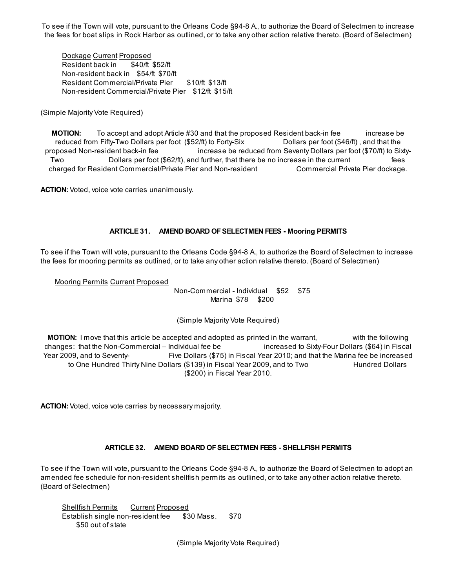To see if the Town will vote, pursuant to the Orleans Code §94-8 A., to authorize the Board of Selectmen to increase the fees for boat slips in Rock Harbor as outlined, or to take any other action relative thereto. (Board of Selectmen)

Dockage Current Proposed Resident back in \$40/ft \$52/ft Non-resident back in \$54/ft \$70/ft Resident Commercial/Private Pier \$10/ft \$13/ft Non-resident Commercial/Private Pier \$12/ft \$15/ft

(Simple Majority Vote Required)

**MOTION:** To accept and adopt Article #30 and that the proposed Resident back-in fee increase be reduced from Fifty-Two Dollars per foot (\$52/ft) to Forty-Six Dollars per foot (\$46/ft) , and that the proposed Non-resident back-in fee increase be reduced from Seventy Dollars per foot (\$70/ft) to Sixty-Two Dollars per foot (\$62/ft), and further, that there be no increase in the current fees charged for Resident Commercial/Private Pier and Non-resident Commercial Private Pier dockage.

ACTION: Voted, voice vote carries unanimously.

#### ARTICLE 31. AMEND BOARD OFSELECTMEN FEES - Mooring PERMITS

To see if the Town will vote, pursuant to the Orleans Code §94-8 A., to authorize the Board of Selectmen to increase the fees for mooring permits as outlined, or to take any other action relative thereto. (Board of Selectmen)

Mooring Permits Current Proposed

Non-Commercial - Individual \$52 \$75 Marina \$78 \$200

#### (Simple Majority Vote Required)

**MOTION:** I move that this article be accepted and adopted as printed in the warrant, with the following changes: that the Non-Commercial – Individual fee be increased to Sixty-Four Dollars (\$64) in Fiscal Year 2009, and to Seventy- Five Dollars (\$75) in Fiscal Year 2010; and that the Marina fee be increased to One Hundred Thirty Nine Dollars (\$139) in Fiscal Year 2009, and to Two Hundred Dollars (\$200) in Fiscal Year 2010.

ACTION: Voted, voice vote carries by necessary majority.

# ARTICLE 32. AMEND BOARD OFSELECTMEN FEES - SHELLFISH PERMITS

To see if the Town will vote, pursuant to the Orleans Code §94-8 A., to authorize the Board of Selectmen to adopt an amended fee schedule for non-resident shellfish permits as outlined, or to take any other action relative thereto. (Board of Selectmen)

Shellfish Permits Current Proposed Establish single non-resident fee \$30 Mass. \$70 \$50 out of state

(Simple Majority Vote Required)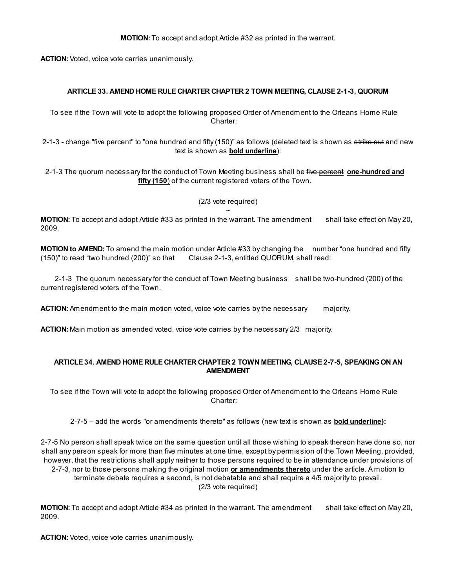MOTION: To accept and adopt Article #32 as printed in the warrant.

ACTION: Voted, voice vote carries unanimously.

#### ARTICLE 33. AMEND HOME RULE CHARTER CHAPTER 2 TOWN MEETING, CLAUSE 2-1-3, QUORUM

To see if the Town will vote to adopt the following proposed Order of Amendment to the Orleans Home Rule Charter:

2-1-3 - change "five percent" to "one hundred and fifty (150)" as follows (deleted text is shown as strike out and new text is shown as bold underline):

2-1-3 The quorum necessary for the conduct of Town Meeting business shall be five percent one-hundred and fifty (150) of the current registered voters of the Town.

> (2/3 vote required)  $\ddot{\phantom{1}}$

MOTION: To accept and adopt Article #33 as printed in the warrant. The amendment shall take effect on May 20, 2009.

MOTION to AMEND: To amend the main motion under Article #33 by changing the number "one hundred and fifty (150)" to read "two hundred (200)" so that Clause 2-1-3, entitled QUORUM, shall read:

2-1-3 The quorum necessary for the conduct of Town Meeting business shall be two-hundred (200) of the current registered voters of the Town.

**ACTION:** Amendment to the main motion voted, voice vote carries by the necessary majority.

**ACTION:** Main motion as amended voted, voice vote carries by the necessary 2/3 majority.

#### ARTICLE 34. AMEND HOME RULE CHARTER CHAPTER 2 TOWN MEETING, CLAUSE 2-7-5, SPEAKINGON AN AMENDMENT

To see if the Town will vote to adopt the following proposed Order of Amendment to the Orleans Home Rule Charter:

2-7-5 – add the words "or amendments thereto" as follows (new text is shown as **bold underline)**:

2-7-5 No person shall speak twice on the same question until all those wishing to speak thereon have done so, nor shall any person speak for more than five minutes at one time, except by permission of the Town Meeting, provided, however, that the restrictions shall apply neither to those persons required to be in attendance under provisions of 2-7-3, nor to those persons making the original motion or amendments thereto under the article. A motion to terminate debate requires a second, is not debatable and shall require a 4/5 majority to prevail. (2/3 vote required)

MOTION: To accept and adopt Article #34 as printed in the warrant. The amendment shall take effect on May 20, 2009.

ACTION: Voted, voice vote carries unanimously.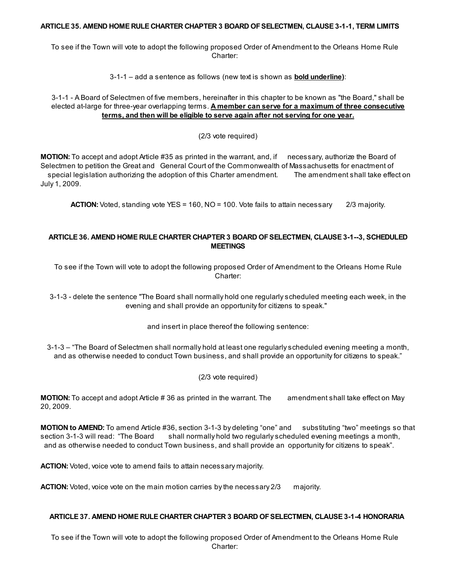#### ARTICLE 35. AMEND HOME RULE CHARTER CHAPTER 3 BOARD OFSELECTMEN, CLAUSE 3-1-1, TERM LIMITS

To see if the Town will vote to adopt the following proposed Order of Amendment to the Orleans Home Rule Charter:

3-1-1 – add a sentence as follows (new text is shown as bold underline):

3-1-1 - A Board of Selectmen of five members, hereinafter in this chapter to be known as "the Board," shall be elected at-large for three-year overlapping terms. A member can serve for a maximum of three consecutive terms, and then will be eligible to serve again after not serving for one year.

(2/3 vote required)

MOTION: To accept and adopt Article #35 as printed in the warrant, and, if necessary, authorize the Board of Selectmen to petition the Great and General Court of the Commonwealth of Massachusetts for enactment of special legislation authorizing the adoption of this Charter amendment. The amendment shall take effect on July 1, 2009.

ACTION: Voted, standing vote YES = 160, NO = 100. Vote fails to attain necessary 2/3 majority.

# ARTICLE 36. AMEND HOME RULE CHARTER CHAPTER 3 BOARD OFSELECTMEN, CLAUSE 3-1--3, SCHEDULED MEETINGS

To see if the Town will vote to adopt the following proposed Order of Amendment to the Orleans Home Rule Charter:

3-1-3 - delete the sentence "The Board shall normally hold one regularly scheduled meeting each week, in the evening and shall provide an opportunity for citizens to speak."

and insert in place thereof the following sentence:

3-1-3 – "The Board of Selectmen shall normally hold at least one regularly scheduled evening meeting a month, and as otherwise needed to conduct Town business, and shall provide an opportunity for citizens to speak."

(2/3 vote required)

**MOTION:** To accept and adopt Article # 36 as printed in the warrant. The amendment shall take effect on May 20, 2009.

MOTION to AMEND: To amend Article #36, section 3-1-3 by deleting "one" and substituting "two" meetings so that section 3-1-3 will read: "The Board shall normally hold two regularly scheduled evening meetings a month, and as otherwise needed to conduct Town business, and shall provide an opportunity for citizens to speak".

ACTION: Voted, voice vote to amend fails to attain necessary majority.

ACTION: Voted, voice vote on the main motion carries by the necessary 2/3 majority.

## ARTICLE 37. AMEND HOME RULE CHARTER CHAPTER 3 BOARD OFSELECTMEN, CLAUSE 3-1-4 HONORARIA

To see if the Town will vote to adopt the following proposed Order of Amendment to the Orleans Home Rule Charter: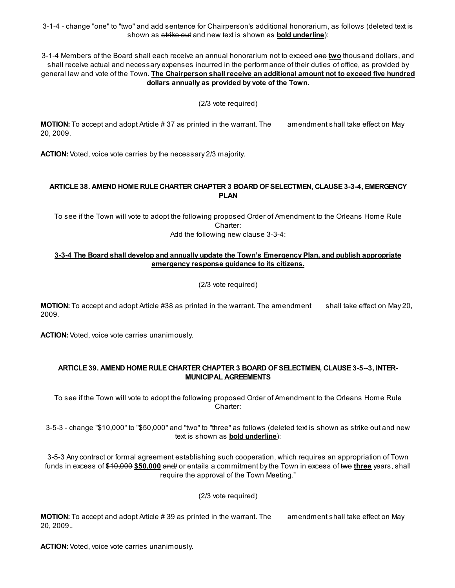3-1-4 - change "one" to "two" and add sentence for Chairperson's additional honorarium, as follows (deleted text is shown as strike out and new text is shown as **bold underline**):

3-1-4 Members of the Board shall each receive an annual honorarium not to exceed one two thousand dollars, and shall receive actual and necessary expenses incurred in the performance of their duties of office, as provided by general law and vote of the Town. The Chairperson shall receive an additional amount not to exceed five hundred dollars annually as provided by vote of the Town.

(2/3 vote required)

**MOTION:** To accept and adopt Article # 37 as printed in the warrant. The amendment shall take effect on May 20, 2009.

ACTION: Voted, voice vote carries by the necessary 2/3 majority.

#### ARTICLE 38. AMEND HOME RULE CHARTER CHAPTER 3 BOARD OFSELECTMEN, CLAUSE 3-3-4, EMERGENCY PLAN

To see if the Town will vote to adopt the following proposed Order of Amendment to the Orleans Home Rule Charter: Add the following new clause 3-3-4:

# 3-3-4 The Board shall develop and annually update the Town's Emergency Plan, and publish appropriate emergency response guidance to its citizens.

(2/3 vote required)

MOTION: To accept and adopt Article #38 as printed in the warrant. The amendment shall take effect on May 20, 2009.

ACTION: Voted, voice vote carries unanimously.

#### ARTICLE 39. AMEND HOME RULE CHARTER CHAPTER 3 BOARD OFSELECTMEN, CLAUSE 3-5--3, INTER-MUNICIPAL AGREEMENTS

To see if the Town will vote to adopt the following proposed Order of Amendment to the Orleans Home Rule Charter:

3-5-3 - change "\$10,000" to "\$50,000" and "two" to "three" as follows (deleted text is shown as strike out and new text is shown as bold underline):

3-5-3 Any contract or formal agreement establishing such cooperation, which requires an appropriation of Town funds in excess of \$10,000 \$50,000 and/ or entails a commitment by the Town in excess of two three years, shall require the approval of the Town Meeting."

(2/3 vote required)

**MOTION:** To accept and adopt Article # 39 as printed in the warrant. The amendment shall take effect on May 20, 2009..

ACTION: Voted, voice vote carries unanimously.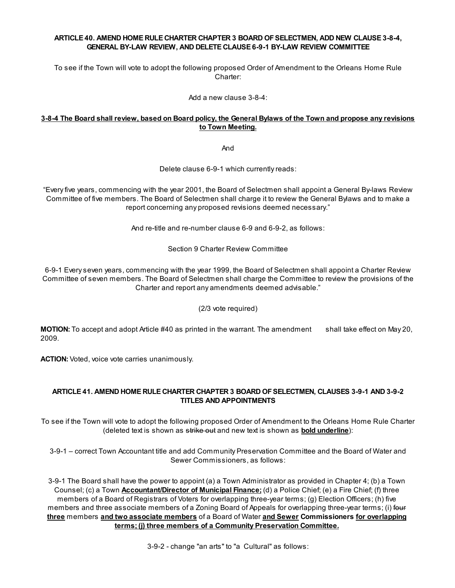# ARTICLE 40. AMEND HOME RULE CHARTER CHAPTER 3 BOARD OFSELECTMEN, ADD NEW CLAUSE 3-8-4, GENERAL BY-LAW REVIEW, AND DELETE CLAUSE 6-9-1 BY-LAW REVIEW COMMITTEE

To see if the Town will vote to adopt the following proposed Order of Amendment to the Orleans Home Rule Charter:

Add a new clause 3-8-4:

# 3-8-4 The Board shall review, based on Board policy, the General Bylaws of the Town and propose any revisions to Town Meeting.

And

Delete clause 6-9-1 which currently reads:

"Every five years, commencing with the year 2001, the Board of Selectmen shall appoint a General By-laws Review Committee of five members. The Board of Selectmen shall charge it to review the General Bylaws and to make a report concerning any proposed revisions deemed necessary."

And re-title and re-number clause 6-9 and 6-9-2, as follows:

Section 9 Charter Review Committee

6-9-1 Every seven years, commencing with the year 1999, the Board of Selectmen shall appoint a Charter Review Committee of seven members. The Board of Selectmen shall charge the Committee to review the provisions of the Charter and report any amendments deemed advisable."

(2/3 vote required)

MOTION: To accept and adopt Article #40 as printed in the warrant. The amendment shall take effect on May 20, 2009.

ACTION: Voted, voice vote carries unanimously.

# ARTICLE 41. AMEND HOME RULE CHARTER CHAPTER 3 BOARD OFSELECTMEN, CLAUSES 3-9-1 AND 3-9-2 TITLES AND APPOINTMENTS

To see if the Town will vote to adopt the following proposed Order of Amendment to the Orleans Home Rule Charter (deleted text is shown as strike out and new text is shown as **bold underline**):

3-9-1 – correct Town Accountant title and add Community Preservation Committee and the Board of Water and Sewer Commissioners, as follows:

3-9-1 The Board shall have the power to appoint (a) a Town Administrator as provided in Chapter 4; (b) a Town Counsel; (c) a Town **Accountant/Director of Municipal Finance;** (d) a Police Chief; (e) a Fire Chief; (f) three members of a Board of Registrars of Voters for overlapping three-year terms; (g) Election Officers; (h) five members and three associate members of a Zoning Board of Appeals for overlapping three-year terms; (i) four three members and two associate members of a Board of Water and Sewer Commissioners for overlapping terms; (j) three members of a Community Preservation Committee.

3-9-2 - change "an arts" to "a Cultural" as follows: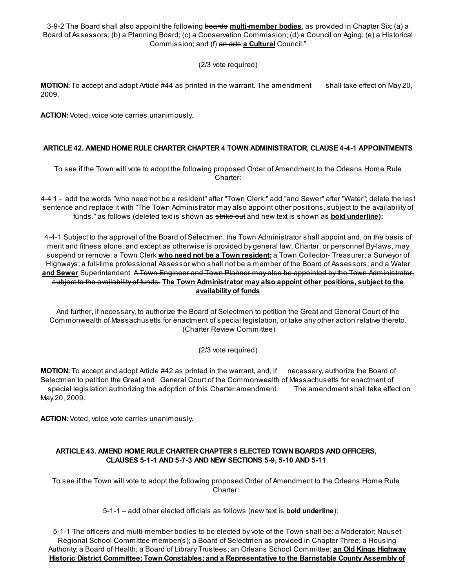3-9-2 The Board shall also appoint the following boards multi-member bodies, as provided in Chapter Six: (a) a Board of Assessors; (b) a Planning Board; (c) a Conservation Commission; (d) a Council on Aging; (e) a Historical Commission; and (f) an arts a Cultural Council."

(2/3 vote required)

MOTION: To accept and adopt Article #44 as printed in the warrant. The amendment shall take effect on May 20, 2009.

ACTION: Voted, voice vote carries unanimously.

# ARTICLE 42. AMEND HOME RULE CHARTER CHAPTER 4 TOWN ADMINISTRATOR, CLAUSE 4-4-1 APPOINTMENTS

To see if the Town will vote to adopt the following proposed Order of Amendment to the Orleans Home Rule Charter:

4-4 1 - add the words "who need not be a resident" after "Town Clerk;" add "and Sewer" after "Water"; delete the last sentence and replace it with "The Town Administrator may also appoint other positions, subject to the availability of funds." as follows (deleted text is shown as strike out and new text is shown as **bold underline**):

4-4-1 Subject to the approval of the Board of Selectmen, the Town Administrator shall appoint and, on the basis of merit and fitness alone, and except as otherwise is provided by general law, Charter, or personnel By-laws, may suspend or remove: a Town Clerk *who need not be a Town resident;* a Town Collector- Treasurer; a Surveyor of Highways; a full-time professional Assessor who shall not be a member of the Board of Assessors; and a Water and Sewer Superintendent. A Town Engineer and Town Planner may also be appointed by the Town Administrator, subject to the availability of funds. The Town Administrator may also appoint other positions, subject to the availability of funds

And further, if necessary, to authorize the Board of Selectmen to petition the Great and General Court of the Commonwealth of Massachusetts for enactment of special legislation, or take any other action relative thereto. (Charter Review Committee)

(2/3 vote required)

MOTION: To accept and adopt Article #42 as printed in the warrant, and, if necessary, authorize the Board of Selectmen to petition the Great and General Court of the Commonwealth of Massachusetts for enactment of special legislation authorizing the adoption of this Charter amendment. The amendment shall take effect on May 20, 2009.

ACTION: Voted, voice vote carries unanimously.

# ARTICLE 43. AMEND HOME RULE CHARTER CHAPTER 5 ELECTED TOWN BOARDS AND OFFICERS, CLAUSES 5-1-1 AND 5-7-3 AND NEW SECTIONS 5-9, 5-10 AND 5-11

To see if the Town will vote to adopt the following proposed Order of Amendment to the Orleans Home Rule Charter:

5-1-1 – add other elected officials as follows (new text is **bold underline**):

5-1-1 The officers and multi-member bodies to be elected by vote of the Town shall be: a Moderator; Nauset Regional School Committee member(s); a Board of Selectmen as provided in Chapter Three; a Housing Authority; a Board of Health; a Board of Library Trustees; an Orleans School Committee; an Old Kings Highway Historic District Committee; Town Constables; and a Representative to the Barnstable County Assembly of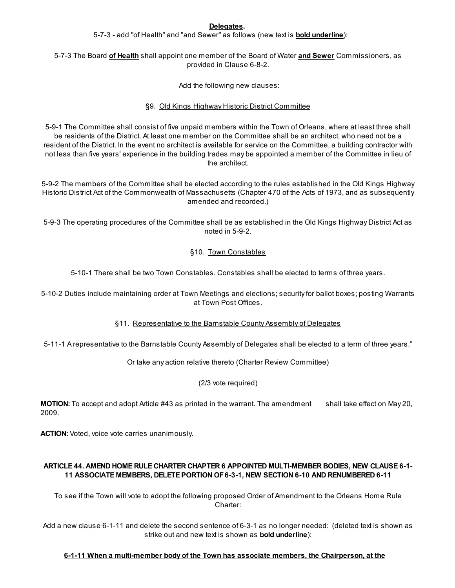#### Delegates.

5-7-3 - add "of Health" and "and Sewer" as follows (new text is **bold underline**):

# 5-7-3 The Board of Health shall appoint one member of the Board of Water and Sewer Commissioners, as provided in Clause 6-8-2.

Add the following new clauses:

# §9. Old Kings Highway Historic District Committee

5-9-1 The Committee shall consist of five unpaid members within the Town of Orleans, where at least three shall be residents of the District. At least one member on the Committee shall be an architect, who need not be a resident of the District. In the event no architect is available for service on the Committee, a building contractor with not less than five years' experience in the building trades may be appointed a member of the Committee in lieu of the architect.

5-9-2 The members of the Committee shall be elected according to the rules established in the Old Kings Highway Historic District Act of the Commonwealth of Massachusetts (Chapter 470 of the Acts of 1973, and as subsequently amended and recorded.)

5-9-3 The operating procedures of the Committee shall be as established in the Old Kings Highway District Act as noted in 5-9-2.

# §10. Town Constables

5-10-1 There shall be two Town Constables. Constables shall be elected to terms of three years.

5-10-2 Duties include maintaining order at Town Meetings and elections; security for ballot boxes; posting Warrants at Town Post Offices.

# §11. Representative to the Barnstable County Assembly of Delegates

5-11-1 A representative to the Barnstable County Assembly of Delegates shall be elected to a term of three years."

Or take any action relative thereto (Charter Review Committee)

# (2/3 vote required)

MOTION: To accept and adopt Article #43 as printed in the warrant. The amendment shall take effect on May 20, 2009.

ACTION: Voted, voice vote carries unanimously.

# ARTICLE 44. AMEND HOME RULE CHARTER CHAPTER 6 APPOINTED MULTI-MEMBER BODIES, NEW CLAUSE 6-1- 11 ASSOCIATE MEMBERS, DELETE PORTION OF6-3-1, NEW SECTION 6-10 AND RENUMBERED 6-11

To see if the Town will vote to adopt the following proposed Order of Amendment to the Orleans Home Rule Charter:

Add a new clause 6-1-11 and delete the second sentence of 6-3-1 as no longer needed: (deleted text is shown as strike out and new text is shown as **bold underline**):

# 6-1-11 When a multi-member body of the Town has associate members, the Chairperson, at the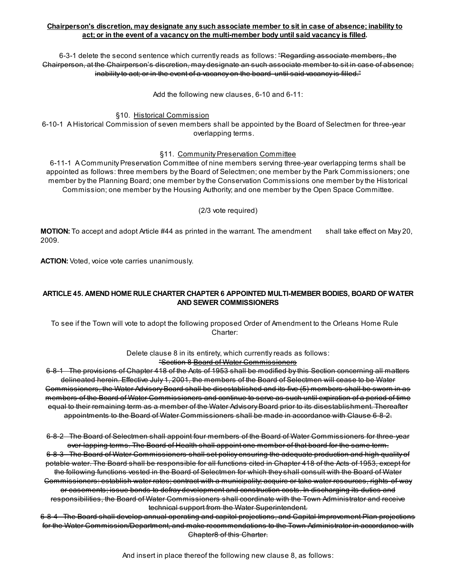# Chairperson's discretion, may designate any such associate member to sit in case of absence; inability to act; or in the event of a vacancy on the multi-member body until said vacancy is filled.

6-3-1 delete the second sentence which currently reads as follows: "Regarding associate members, the Chairperson, at the Chairperson's discretion, may designate an such associate member to sit in case of absence; inability to act; or in the event of a vacancy on the board until said vacancy is filled."

Add the following new clauses, 6-10 and 6-11:

§10. Historical Commission

6-10-1 A Historical Commission of seven members shall be appointed by the Board of Selectmen for three-year overlapping terms.

#### §11. Community Preservation Committee

6-11-1 A Community Preservation Committee of nine members serving three-year overlapping terms shall be appointed as follows: three members by the Board of Selectmen; one member by the Park Commissioners; one member by the Planning Board; one member by the Conservation Commissions one member by the Historical Commission; one member by the Housing Authority; and one member by the Open Space Committee.

#### (2/3 vote required)

MOTION: To accept and adopt Article #44 as printed in the warrant. The amendment shall take effect on May 20, 2009.

ACTION: Voted, voice vote carries unanimously.

## ARTICLE 45. AMEND HOME RULE CHARTER CHAPTER 6 APPOINTED MULTI-MEMBER BODIES, BOARD OFWATER AND SEWER COMMISSIONERS

To see if the Town will vote to adopt the following proposed Order of Amendment to the Orleans Home Rule Charter:

> Delete clause 8 in its entirety, which currently reads as follows: "Section 8 Board of Water Commissioners

6-8-1 The provisions of Chapter 418 of the Acts of 1953 shall be modified by this Section concerning all matters delineated herein. Effective July 1, 2001, the members of the Board of Selectmen will cease to be Water Commissioners, the Water Advisory Board shall be disestablished and its five (5) members shall be sworn in as members of the Board of Water Commissioners and continue to serve as such until expiration of a period of time equal to their remaining term as a member of the Water Advisory Board prior to its disestablishment. Thereafter appointments to the Board of Water Commissioners shall be made in accordance with Clause 6-8-2.

6-8-2 The Board of Selectmen shall appoint four members of the Board of Water Commissioners for three-year over-lapping terms. The Board of Health shall appoint one member of that board for the same term. 6-8-3 The Board of Water Commissioners shall set policy ensuring the adequate production and high quality of potable water. The Board shall be responsible for all functions cited in Chapter 418 of the Acts of 1953, except for the following functions vested in the Board of Selectmen for which they shall consult with the Board of Water Commissioners: establish water rates; contract with a municipality; acquire or take water resources, rights-of-way or easements; issue bonds to defray development and construction costs. In discharging its duties and responsibilities, the Board of Water Commissioners shall coordinate with the Town Administrator and receive technical support from the Water Superintendent.

6-8-4 The Board shall develop annual operating and capitol projections, and Capital Improvement Plan projections for the Water Commission/Department, and make recommendations to the Town Administrator in accordance with Chapter8 of this Charter.

And insert in place thereof the following new clause 8, as follows: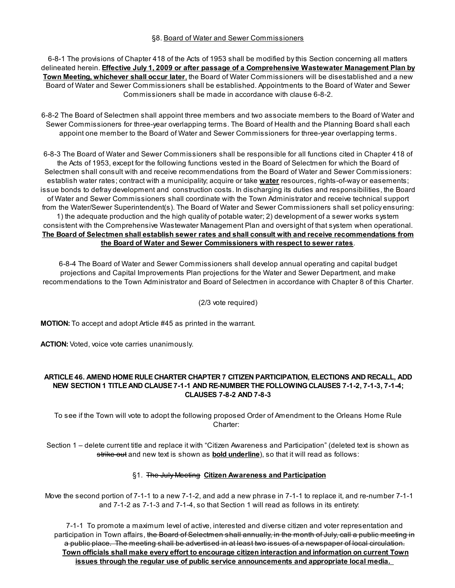#### §8. Board of Water and Sewer Commissioners

6-8-1 The provisions of Chapter 418 of the Acts of 1953 shall be modified by this Section concerning all matters delineated herein. **Effective July 1, 2009 or after passage of a Comprehensive Wastewater Management Plan by** Town Meeting, whichever shall occur later, the Board of Water Commissioners will be disestablished and a new Board of Water and Sewer Commissioners shall be established. Appointments to the Board of Water and Sewer Commissioners shall be made in accordance with clause 6-8-2.

6-8-2 The Board of Selectmen shall appoint three members and two associate members to the Board of Water and Sewer Commissioners for three-year overlapping terms. The Board of Health and the Planning Board shall each appoint one member to the Board of Water and Sewer Commissioners for three-year overlapping terms.

6-8-3 The Board of Water and Sewer Commissioners shall be responsible for all functions cited in Chapter 418 of the Acts of 1953, except for the following functions vested in the Board of Selectmen for which the Board of Selectmen shall consult with and receive recommendations from the Board of Water and Sewer Commissioners: establish water rates; contract with a municipality; acquire or take water resources, rights-of-way or easements; issue bonds to defray development and construction costs. In discharging its duties and responsibilities, the Board of Water and Sewer Commissioners shall coordinate with the Town Administrator and receive technical support from the Water/Sewer Superintendent(s). The Board of Water and Sewer Commissioners shall set policy ensuring: 1) the adequate production and the high quality of potable water; 2) development of a sewer works system consistent with the Comprehensive Wastewater Management Plan and oversight of that system when operational. The Board of Selectmen shall establish sewer rates and shall consult with and receive recommendations from the Board of Water and Sewer Commissioners with respect to sewer rates.

6-8-4 The Board of Water and Sewer Commissioners shall develop annual operating and capital budget projections and Capital Improvements Plan projections for the Water and Sewer Department, and make recommendations to the Town Administrator and Board of Selectmen in accordance with Chapter 8 of this Charter.

(2/3 vote required)

MOTION: To accept and adopt Article #45 as printed in the warrant.

ACTION: Voted, voice vote carries unanimously.

#### ARTICLE 46. AMEND HOME RULE CHARTER CHAPTER 7 CITIZEN PARTICIPATION, ELECTIONS AND RECALL, ADD NEW SECTION 1 TITLE AND CLAUSE 7-1-1 AND RE-NUMBER THE FOLLOWINGCLAUSES 7-1-2, 7-1-3, 7-1-4; CLAUSES 7-8-2 AND 7-8-3

To see if the Town will vote to adopt the following proposed Order of Amendment to the Orleans Home Rule Charter:

Section 1 – delete current title and replace it with "Citizen Awareness and Participation" (deleted text is shown as strike out and new text is shown as **bold underline**), so that it will read as follows:

# §1. The July Meeting Citizen Awareness and Participation

Move the second portion of 7-1-1 to a new 7-1-2, and add a new phrase in 7-1-1 to replace it, and re-number 7-1-1 and 7-1-2 as 7-1-3 and 7-1-4, so that Section 1 will read as follows in its entirety:

7-1-1 To promote a maximum level of active, interested and diverse citizen and voter representation and participation in Town affairs, <del>the Board of Selectmen shall annually, in the month of July, call a public meeting in</del> a public place. The meeting shall be advertised in at least two issues of a newspaper of local circulation. Town officials shall make every effort to encourage citizen interaction and information on current Town issues through the regular use of public service announcements and appropriate local media.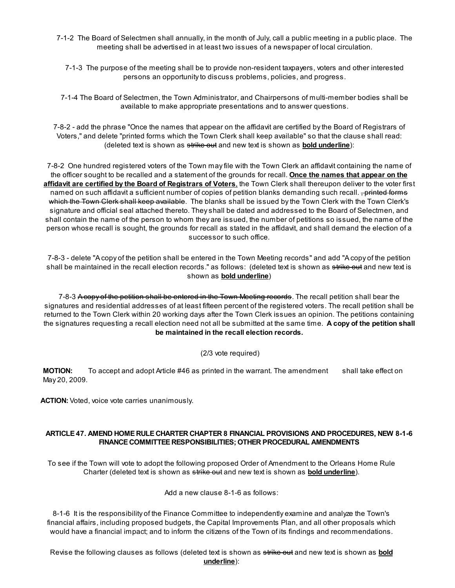- 7-1-2 The Board of Selectmen shall annually, in the month of July, call a public meeting in a public place. The meeting shall be advertised in at least two issues of a newspaper of local circulation.
	- 7-1-3 The purpose of the meeting shall be to provide non-resident taxpayers, voters and other interested persons an opportunity to discuss problems, policies, and progress.

7-1-4 The Board of Selectmen, the Town Administrator, and Chairpersons of multi-member bodies shall be available to make appropriate presentations and to answer questions.

7-8-2 - add the phrase "Once the names that appear on the affidavit are certified by the Board of Registrars of Voters," and delete "printed forms which the Town Clerk shall keep available" so that the clause shall read: (deleted text is shown as strike out and new text is shown as **bold underline**):

7-8-2 One hundred registered voters of the Town may file with the Town Clerk an affidavit containing the name of the officer sought to be recalled and a statement of the grounds for recall. Once the names that appear on the affidavit are certified by the Board of Registrars of Voters, the Town Clerk shall thereupon deliver to the voter first named on such affidavit a sufficient number of copies of petition blanks demanding such recall. <del>, printed forms</del> which the Town Clerk shall keep available. The blanks shall be issued by the Town Clerk with the Town Clerk's signature and official seal attached thereto. They shall be dated and addressed to the Board of Selectmen, and shall contain the name of the person to whom they are issued, the number of petitions so issued, the name of the person whose recall is sought, the grounds for recall as stated in the affidavit, and shall demand the election of a successor to such office.

7-8-3 - delete "A copy of the petition shall be entered in the Town Meeting records" and add "A copy of the petition shall be maintained in the recall election records." as follows: (deleted text is shown as strike out and new text is shown as bold underline)

7-8-3 A copy of the petition shall be entered in the Town Meeting records. The recall petition shall bear the signatures and residential addresses of at least fifteen percent of the registered voters. The recall petition shall be returned to the Town Clerk within 20 working days after the Town Clerk issues an opinion. The petitions containing the signatures requesting a recall election need not all be submitted at the same time. A copy of the petition shall be maintained in the recall election records.

(2/3 vote required)

MOTION: To accept and adopt Article #46 as printed in the warrant. The amendment shall take effect on May 20, 2009.

ACTION: Voted, voice vote carries unanimously.

# ARTICLE 47. AMEND HOME RULE CHARTER CHAPTER 8 FINANCIAL PROVISIONS AND PROCEDURES, NEW 8-1-6 FINANCE COMMITTEE RESPONSIBILITIES; OTHER PROCEDURAL AMENDMENTS

To see if the Town will vote to adopt the following proposed Order of Amendment to the Orleans Home Rule Charter (deleted text is shown as strike out and new text is shown as **bold underline**).

Add a new clause 8-1-6 as follows:

8-1-6 It is the responsibility of the Finance Committee to independently examine and analyze the Town's financial affairs, including proposed budgets, the Capital Improvements Plan, and all other proposals which would have a financial impact; and to inform the citizens of the Town of its findings and recommendations.

Revise the following clauses as follows (deleted text is shown as strike out and new text is shown as **bold** underline):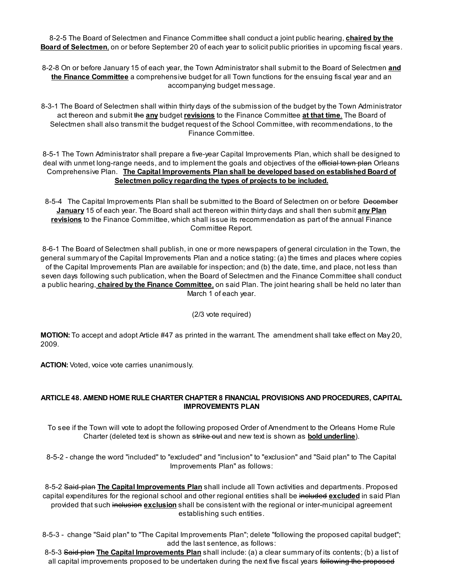8-2-5 The Board of Selectmen and Finance Committee shall conduct a joint public hearing, chaired by the Board of Selectmen, on or before September 20 of each year to solicit public priorities in upcoming fiscal years.

- 8-2-8 On or before January 15 of each year, the Town Administrator shall submit to the Board of Selectmen and the Finance Committee a comprehensive budget for all Town functions for the ensuing fiscal year and an accompanying budget message.
- 8-3-1 The Board of Selectmen shall within thirty days of the submission of the budget by the Town Administrator act thereon and submit the any budget revisions to the Finance Committee at that time. The Board of Selectmen shall also transmit the budget request of the School Committee, with recommendations, to the Finance Committee.

8-5-1 The Town Administrator shall prepare a five-year Capital Improvements Plan, which shall be designed to deal with unmet long-range needs, and to implement the goals and objectives of the efficial town plan Orleans Comprehensive Plan. The Capital Improvements Plan shall be developed based on established Board of Selectmen policy regarding the types of projects to be included.

8-5-4 The Capital Improvements Plan shall be submitted to the Board of Selectmen on or before December January 15 of each year. The Board shall act thereon within thirty days and shall then submit any Plan revisions to the Finance Committee, which shall issue its recommendation as part of the annual Finance Committee Report.

8-6-1 The Board of Selectmen shall publish, in one or more newspapers of general circulation in the Town, the general summary of the Capital Improvements Plan and a notice stating: (a) the times and places where copies of the Capital Improvements Plan are available for inspection; and (b) the date, time, and place, not less than seven days following such publication, when the Board of Selectmen and the Finance Committee shall conduct a public hearing, chaired by the Finance Committee, on said Plan. The joint hearing shall be held no later than March 1 of each year.

(2/3 vote required)

MOTION: To accept and adopt Article #47 as printed in the warrant. The amendment shall take effect on May 20, 2009.

ACTION: Voted, voice vote carries unanimously.

# ARTICLE 48. AMEND HOME RULE CHARTER CHAPTER 8 FINANCIAL PROVISIONS AND PROCEDURES, CAPITAL IMPROVEMENTS PLAN

To see if the Town will vote to adopt the following proposed Order of Amendment to the Orleans Home Rule Charter (deleted text is shown as strike out and new text is shown as **bold underline**).

8-5-2 - change the word "included" to "excluded" and "inclusion" to "exclusion" and "Said plan" to The Capital Improvements Plan" as follows:

8-5-2 Said-plan The Capital Improvements Plan shall include all Town activities and departments. Proposed capital expenditures for the regional school and other regional entities shall be included excluded in said Plan provided that such inclusion exclusion shall be consistent with the regional or inter-municipal agreement establishing such entities.

8-5-3 - change "Said plan" to "The Capital Improvements Plan"; delete "following the proposed capital budget"; add the last sentence, as follows:

8-5-3 Said plan The Capital Improvements Plan shall include: (a) a clear summary of its contents; (b) a list of all capital improvements proposed to be undertaken during the next five fiscal years following the proposed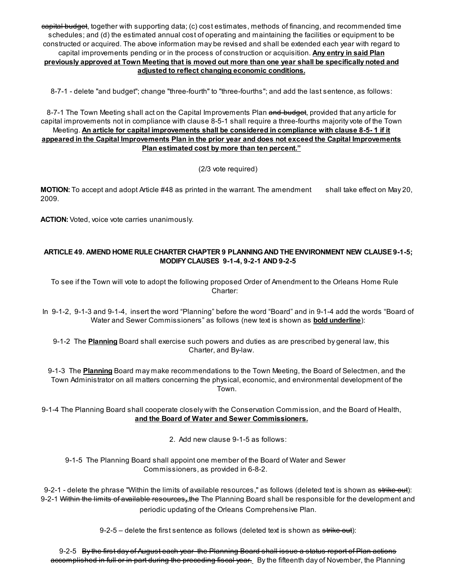eapital budget, together with supporting data; (c) cost estimates, methods of financing, and recommended time schedules; and (d) the estimated annual cost of operating and maintaining the facilities or equipment to be constructed or acquired. The above information may be revised and shall be extended each year with regard to capital improvements pending or in the process of construction or acquisition. Any entry in said Plan previously approved at Town Meeting that is moved out more than one year shall be specifically noted and adjusted to reflect changing economic conditions.

8-7-1 - delete "and budget"; change "three-fourth" to "three-fourths"; and add the last sentence, as follows:

8-7-1 The Town Meeting shall act on the Capital Improvements Plan and budget, provided that any article for capital improvements not in compliance with clause 8-5-1 shall require a three-fourths majority vote of the Town Meeting. An article for capital improvements shall be considered in compliance with clause 8-5-1 if it appeared in the Capital Improvements Plan in the prior year and does not exceed the Capital Improvements Plan estimated cost by more than ten percent."

(2/3 vote required)

MOTION: To accept and adopt Article #48 as printed in the warrant. The amendment shall take effect on May 20, 2009.

ACTION: Voted, voice vote carries unanimously.

# ARTICLE 49. AMEND HOME RULE CHARTER CHAPTER 9 PLANNINGAND THE ENVIRONMENT NEW CLAUSE 9-1-5; MODIFY CLAUSES 9-1-4, 9-2-1 AND 9-2-5

To see if the Town will vote to adopt the following proposed Order of Amendment to the Orleans Home Rule Charter:

In 9-1-2, 9-1-3 and 9-1-4, insert the word "Planning" before the word "Board" and in 9-1-4 add the words "Board of Water and Sewer Commissioners" as follows (new text is shown as **bold underline**):

9-1-2 The Planning Board shall exercise such powers and duties as are prescribed by general law, this Charter, and By-law.

9-1-3 The **Planning** Board may make recommendations to the Town Meeting, the Board of Selectmen, and the Town Administrator on all matters concerning the physical, economic, and environmental development of the Town.

9-1-4 The Planning Board shall cooperate closely with the Conservation Commission, and the Board of Health, and the Board of Water and Sewer Commissioners.

2. Add new clause 9-1-5 as follows:

9-1-5 The Planning Board shall appoint one member of the Board of Water and Sewer Commissioners, as provided in 6-8-2.

9-2-1 - delete the phrase "Within the limits of available resources," as follows (deleted text is shown as strike out): 9-2-1 <del>Within the limits of available resources<sub>r</sub> the</del> The Planning Board shall be responsible for the development and periodic updating of the Orleans Comprehensive Plan.

9-2-5 – delete the first sentence as follows (deleted text is shown as  $\frac{strike}{\cdot}$  out):

9-2-5 By the first day of August each year the Planning Board shall issue a status report of Plan actions accomplished in full or in part during the preceding fiscal year. By the fifteenth day of November, the Planning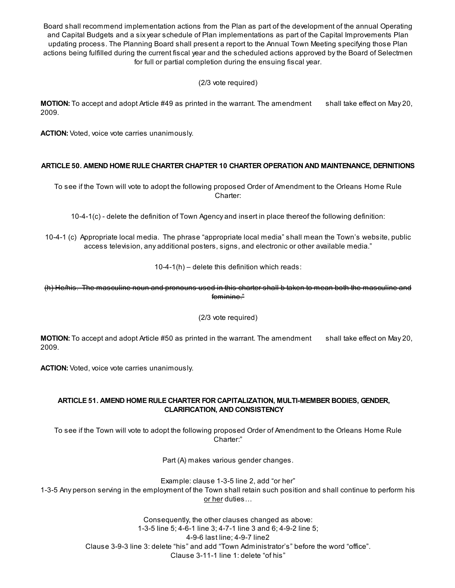Board shall recommend implementation actions from the Plan as part of the development of the annual Operating and Capital Budgets and a six year schedule of Plan implementations as part of the Capital Improvements Plan updating process. The Planning Board shall present a report to the Annual Town Meeting specifying those Plan actions being fulfilled during the current fiscal year and the scheduled actions approved by the Board of Selectmen for full or partial completion during the ensuing fiscal year.

(2/3 vote required)

MOTION: To accept and adopt Article #49 as printed in the warrant. The amendment shall take effect on May 20, 2009.

ACTION: Voted, voice vote carries unanimously.

# ARTICLE 50. AMEND HOME RULE CHARTER CHAPTER 10 CHARTER OPERATION AND MAINTENANCE, DEFINITIONS

To see if the Town will vote to adopt the following proposed Order of Amendment to the Orleans Home Rule Charter:

10-4-1(c) - delete the definition of Town Agency and insert in place thereof the following definition:

10-4-1 (c) Appropriate local media. The phrase "appropriate local media" shall mean the Town's website, public access television, any additional posters, signs, and electronic or other available media."

10-4-1(h) – delete this definition which reads:

(h) He/his. The masculine noun and pronouns used in this charter shall b taken to mean both the masculine and feminine."

(2/3 vote required)

MOTION: To accept and adopt Article #50 as printed in the warrant. The amendment shall take effect on May 20, 2009.

ACTION: Voted, voice vote carries unanimously.

# ARTICLE 51. AMEND HOME RULE CHARTER FOR CAPITALIZATION, MULTI-MEMBER BODIES, GENDER, CLARIFICATION, AND CONSISTENCY

To see if the Town will vote to adopt the following proposed Order of Amendment to the Orleans Home Rule Charter:"

Part (A) makes various gender changes.

Example: clause 1-3-5 line 2, add "or her" 1-3-5 Any person serving in the employment of the Town shall retain such position and shall continue to perform his or her duties…

> Consequently, the other clauses changed as above: 1-3-5 line 5; 4-6-1 line 3; 4-7-1 line 3 and 6; 4-9-2 line 5; 4-9-6 last line; 4-9-7 line2 Clause 3-9-3 line 3: delete "his" and add "Town Administrator's" before the word "office". Clause 3-11-1 line 1: delete "of his"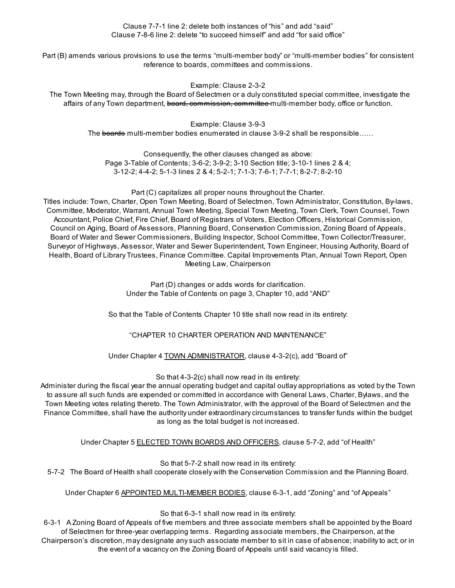Clause 7-7-1 line 2: delete both instances of "his" and add "said" Clause 7-8-6 line 2: delete "to succeed himself" and add "for said office"

Part (B) amends various provisions to use the terms "multi-member body" or "multi-member bodies" for consistent reference to boards, committees and commissions.

Example: Clause 2-3-2

The Town Meeting may, through the Board of Selectmen or a duly constituted special committee, investigate the affairs of any Town department, board, commission, committee multi-member body, office or function.

Example: Clause 3-9-3

The <del>boards</del> multi-member bodies enumerated in clause 3-9-2 shall be responsible……

Consequently, the other clauses changed as above: Page 3-Table of Contents; 3-6-2; 3-9-2; 3-10 Section title; 3-10-1 lines 2 & 4; 3-12-2; 4-4-2; 5-1-3 lines 2 & 4; 5-2-1; 7-1-3; 7-6-1; 7-7-1; 8-2-7; 8-2-10

Part (C) capitalizes all proper nouns throughout the Charter.

Titles include: Town, Charter, Open Town Meeting, Board of Selectmen, Town Administrator, Constitution, By-laws, Committee, Moderator, Warrant, Annual Town Meeting, Special Town Meeting, Town Clerk, Town Counsel, Town Accountant, Police Chief, Fire Chief, Board of Registrars of Voters, Election Officers, Historical Commission, Council on Aging, Board of Assessors, Planning Board, Conservation Commission, Zoning Board of Appeals, Board of Water and Sewer Commissioners, Building Inspector, School Committee, Town Collector/Treasurer, Surveyor of Highways, Assessor, Water and Sewer Superintendent, Town Engineer, Housing Authority, Board of Health, Board of Library Trustees, Finance Committee. Capital Improvements Plan, Annual Town Report, Open Meeting Law, Chairperson

> Part (D) changes or adds words for clarification. Under the Table of Contents on page 3, Chapter 10, add "AND"

So that the Table of Contents Chapter 10 title shall now read in its entirety:

"CHAPTER 10 CHARTER OPERATION AND MAINTENANCE"

Under Chapter 4 TOWN ADMINISTRATOR, clause 4-3-2(c), add "Board of"

So that 4-3-2(c) shall now read in its entirety:

Administer during the fiscal year the annual operating budget and capital outlay appropriations as voted by the Town to assure all such funds are expended or committed in accordance with General Laws, Charter, Bylaws, and the Town Meeting votes relating thereto. The Town Administrator, with the approval of the Board of Selectmen and the Finance Committee, shall have the authority under extraordinary circumstances to transfer funds within the budget as long as the total budget is not increased.

Under Chapter 5 ELECTED TOWN BOARDS AND OFFICERS, clause 5-7-2, add "of Health"

So that 5-7-2 shall now read in its entirety: 5-7-2 The Board of Health shall cooperate closely with the Conservation Commission and the Planning Board.

Under Chapter 6 **APPOINTED MULTI-MEMBER BODIES**, clause 6-3-1, add "Zoning" and "of Appeals"

So that 6-3-1 shall now read in its entirety:

6-3-1 A Zoning Board of Appeals of five members and three associate members shall be appointed by the Board of Selectmen for three-year overlapping terms. Regarding associate members, the Chairperson, at the Chairperson's discretion, may designate any such associate member to sit in case of absence; inability to act; or in the event of a vacancy on the Zoning Board of Appeals until said vacancy is filled.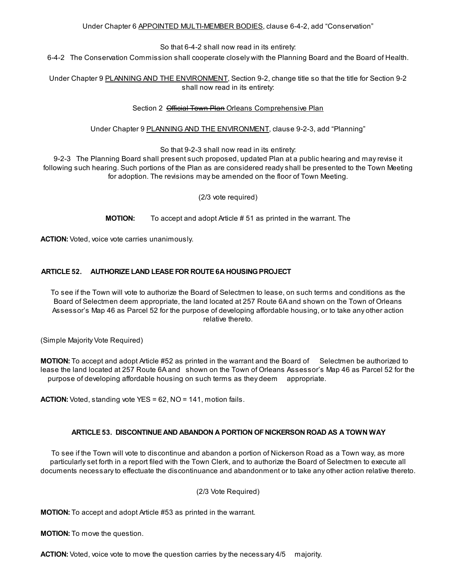## Under Chapter 6 APPOINTED MULTI-MEMBER BODIES, clause 6-4-2, add "Conservation"

So that 6-4-2 shall now read in its entirety:

6-4-2 The Conservation Commission shall cooperate closely with the Planning Board and the Board of Health.

Under Chapter 9 PLANNING AND THE ENVIRONMENT, Section 9-2, change title so that the title for Section 9-2 shall now read in its entirety:

# Section 2 **Official Town Plan Orleans Comprehensive Plan**

# Under Chapter 9 PLANNING AND THE ENVIRONMENT, clause 9-2-3, add "Planning"

So that 9-2-3 shall now read in its entirety:

9-2-3 The Planning Board shall present such proposed, updated Plan at a public hearing and may revise it following such hearing. Such portions of the Plan as are considered ready shall be presented to the Town Meeting for adoption. The revisions may be amended on the floor of Town Meeting.

(2/3 vote required)

MOTION: To accept and adopt Article # 51 as printed in the warrant. The

ACTION: Voted, voice vote carries unanimously.

# ARTICLE 52. AUTHORIZE LAND LEASE FOR ROUTE 6A HOUSINGPROJECT

To see if the Town will vote to authorize the Board of Selectmen to lease, on such terms and conditions as the Board of Selectmen deem appropriate, the land located at 257 Route 6A and shown on the Town of Orleans Assessor's Map 46 as Parcel 52 for the purpose of developing affordable housing, or to take any other action relative thereto.

(Simple Majority Vote Required)

MOTION: To accept and adopt Article #52 as printed in the warrant and the Board of Selectmen be authorized to lease the land located at 257 Route 6A and shown on the Town of Orleans Assessor's Map 46 as Parcel 52 for the purpose of developing affordable housing on such terms as they deem appropriate.

ACTION: Voted, standing vote YES = 62, NO = 141, motion fails.

# ARTICLE 53. DISCONTINUE AND ABANDON A PORTION OFNICKERSON ROAD AS A TOWN WAY

To see if the Town will vote to discontinue and abandon a portion of Nickerson Road as a Town way, as more particularly set forth in a report filed with the Town Clerk, and to authorize the Board of Selectmen to execute all documents necessary to effectuate the discontinuance and abandonment or to take any other action relative thereto.

#### (2/3 Vote Required)

MOTION: To accept and adopt Article #53 as printed in the warrant.

MOTION: To move the question.

**ACTION:** Voted, voice vote to move the question carries by the necessary 4/5 majority.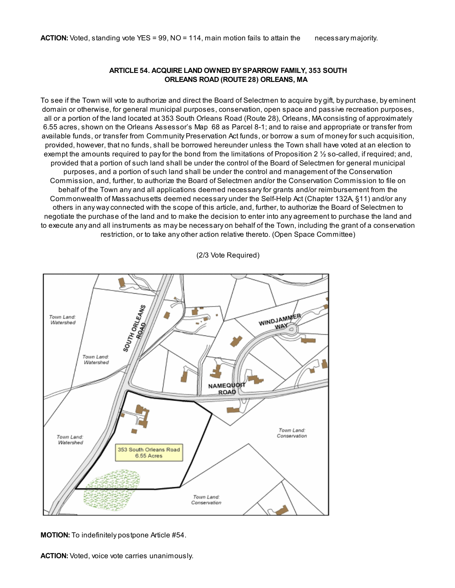#### ARTICLE 54. ACQUIRE LAND OWNED BY SPARROW FAMILY, 353 SOUTH ORLEANS ROAD (ROUTE 28) ORLEANS, MA

To see if the Town will vote to authorize and direct the Board of Selectmen to acquire by gift, by purchase, by eminent domain or otherwise, for general municipal purposes, conservation, open space and passive recreation purposes, all or a portion of the land located at 353 South Orleans Road (Route 28), Orleans, MA consisting of approximately 6.55 acres, shown on the Orleans Assessor's Map 68 as Parcel 8-1; and to raise and appropriate or transfer from available funds, or transfer from Community Preservation Act funds, or borrow a sum of money for such acquisition, provided, however, that no funds, shall be borrowed hereunder unless the Town shall have voted at an election to exempt the amounts required to pay for the bond from the limitations of Proposition 2 ½ so-called, if required; and, provided that a portion of such land shall be under the control of the Board of Selectmen for general municipal purposes, and a portion of such land shall be under the control and management of the Conservation Commission, and, further, to authorize the Board of Selectmen and/or the Conservation Commission to file on behalf of the Town any and all applications deemed necessary for grants and/or reimbursement from the Commonwealth of Massachusetts deemed necessary under the Self-Help Act (Chapter 132A, §11) and/or any others in any way connected with the scope of this article, and, further, to authorize the Board of Selectmen to negotiate the purchase of the land and to make the decision to enter into any agreement to purchase the land and to execute any and all instruments as may be necessary on behalf of the Town, including the grant of a conservation restriction, or to take any other action relative thereto. (Open Space Committee)

(2/3 Vote Required)



MOTION: To indefinitely postpone Article #54.

ACTION: Voted, voice vote carries unanimously.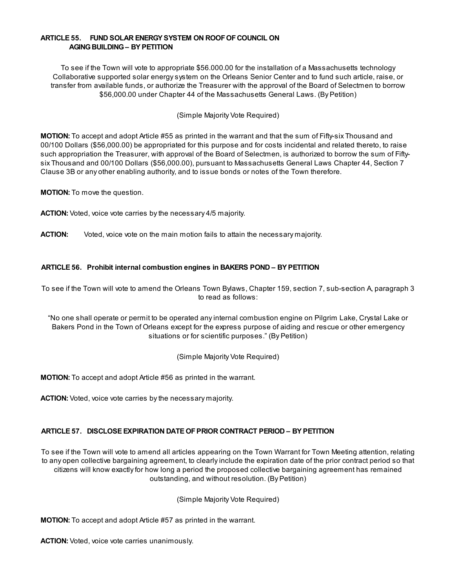#### ARTICLE 55. FUND SOLAR ENERGY SYSTEM ON ROOF OF COUNCIL ON **AGING BUILDING – BY PETITION**

To see if the Town will vote to appropriate \$56.000.00 for the installation of a Massachusetts technology Collaborative supported solar energy system on the Orleans Senior Center and to fund such article, raise, or transfer from available funds, or authorize the Treasurer with the approval of the Board of Selectmen to borrow \$56,000.00 under Chapter 44 of the Massachusetts General Laws. (By Petition)

(Simple Majority Vote Required)

MOTION: To accept and adopt Article #55 as printed in the warrant and that the sum of Fifty-six Thousand and 00/100 Dollars (\$56,000.00) be appropriated for this purpose and for costs incidental and related thereto, to raise such appropriation the Treasurer, with approval of the Board of Selectmen, is authorized to borrow the sum of Fiftysix Thousand and 00/100 Dollars (\$56,000.00), pursuant to Massachusetts General Laws Chapter 44, Section 7 Clause 3B or any other enabling authority, and to issue bonds or notes of the Town therefore.

MOTION: To move the question.

ACTION: Voted, voice vote carries by the necessary 4/5 majority.

ACTION: Voted, voice vote on the main motion fails to attain the necessary majority.

# ARTICLE 56. Prohibit internal combustion engines in BAKERS POND – BY PETITION

To see if the Town will vote to amend the Orleans Town Bylaws, Chapter 159, section 7, sub-section A, paragraph 3 to read as follows:

"No one shall operate or permit to be operated any internal combustion engine on Pilgrim Lake, Crystal Lake or Bakers Pond in the Town of Orleans except for the express purpose of aiding and rescue or other emergency situations or for scientific purposes." (By Petition)

(Simple Majority Vote Required)

MOTION: To accept and adopt Article #56 as printed in the warrant.

ACTION: Voted, voice vote carries by the necessary majority.

# ARTICLE 57. DISCLOSE EXPIRATION DATE OFPRIOR CONTRACT PERIOD – BY PETITION

To see if the Town will vote to amend all articles appearing on the Town Warrant for Town Meeting attention, relating to any open collective bargaining agreement, to clearly include the expiration date of the prior contract period so that citizens will know exactly for how long a period the proposed collective bargaining agreement has remained outstanding, and without resolution. (By Petition)

(Simple Majority Vote Required)

MOTION: To accept and adopt Article #57 as printed in the warrant.

ACTION: Voted, voice vote carries unanimously.